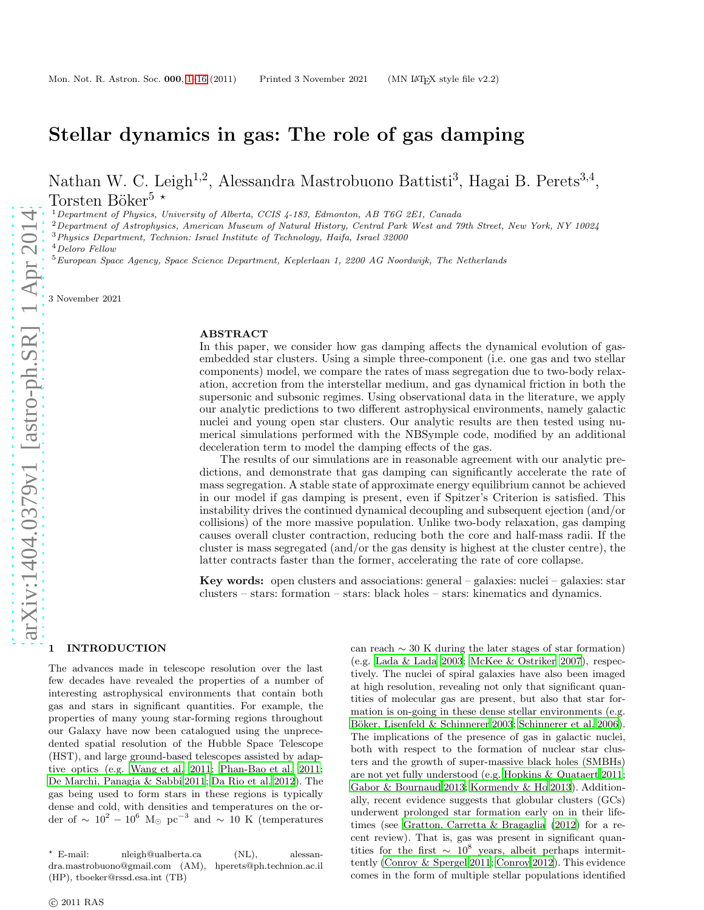# Stellar dynamics in gas: The role of gas damping

Nathan W. C. Leigh<sup>1,2</sup>, Alessandra Mastrobuono Battisti<sup>3</sup>, Hagai B. Perets<sup>3,4</sup>, Torsten Böker<sup>5  $\star$ </sup>

<sup>1</sup>Department of Physics, University of Alberta, CCIS  $4$ -183, Edmonton, AB T6G 2E1, Canada

 $2$ Department of Astrophysics, American Museum of Natural History, Central Park West and 79th Street, New York, NY 10024

<sup>3</sup>Physics Department, Technion: Israel Institute of Technology, Haifa, Israel 32000

<sup>4</sup>Deloro Fellow

<sup>5</sup>European Space Agency, Space Science Department, Keplerlaan 1, 2200 AG Noordwijk, The Netherlands

3 November 2021

# ABSTRACT

In this paper, we consider how gas damping affects the dynamical evolution of gasembedded star clusters. Using a simple three-component (i.e. one gas and two stellar components) model, we compare the rates of mass segregation due to two-body relaxation, accretion from the interstellar medium, and gas dynamical friction in both the supersonic and subsonic regimes. Using observational data in the literature, we apply our analytic predictions to two different astrophysical environments, namely galactic nuclei and young open star clusters. Our analytic results are then tested using numerical simulations performed with the NBSymple code, modified by an additional deceleration term to model the damping effects of the gas.

The results of our simulations are in reasonable agreement with our analytic predictions, and demonstrate that gas damping can significantly accelerate the rate of mass segregation. A stable state of approximate energy equilibrium cannot be achieved in our model if gas damping is present, even if Spitzer's Criterion is satisfied. This instability drives the continued dynamical decoupling and subsequent ejection (and/or collisions) of the more massive population. Unlike two-body relaxation, gas damping causes overall cluster contraction, reducing both the core and half-mass radii. If the cluster is mass segregated (and/or the gas density is highest at the cluster centre), the latter contracts faster than the former, accelerating the rate of core collapse.

**Key words:** open clusters and associations: general  $-$  galaxies: nuclei  $-$  galaxies: star clusters – stars: formation – stars: black holes – stars: kinematics and dynamics.

# <span id="page-0-0"></span>1 INTRODUCTION

The advances made in telescope resolution over the last few decades have revealed the properties of a number of interesting astrophysical environments that contain both gas and stars in significant quantities. For example, the properties of many young star-forming regions throughout our Galaxy have now been catalogued using the unprecedented spatial resolution of the Hubble Space Telescope (HST), and large ground-based telescopes assisted by adaptive optics (e.g. [Wang et al. 2011;](#page-13-0) [Phan-Bao et al. 2011;](#page-13-1) [De Marchi, Panagia & Sabbi 2011;](#page-12-0) [Da Rio et al. 2012\)](#page-12-1). The gas being used to form stars in these regions is typically dense and cold, with densities and temperatures on the order of  $\sim 10^2 - 10^6$  M<sub>☉</sub> pc<sup>-3</sup> and  $\sim 10$  K (temperatures

can reach  $\sim$  30 K during the later stages of star formation) (e.g. [Lada & Lada 2003](#page-12-2); [McKee & Ostriker 2007](#page-12-3)), respectively. The nuclei of spiral galaxies have also been imaged at high resolution, revealing not only that significant quantities of molecular gas are present, but also that star formation is on-going in these dense stellar environments (e.g. Böker, Lisenfeld & Schinnerer 2003; [Schinnerer et al. 2006](#page-13-2)). The implications of the presence of gas in galactic nuclei, both with respect to the formation of nuclear star clusters and the growth of super-massive black holes (SMBHs) are not yet fully understood (e.g. [Hopkins & Quataert 2011](#page-12-5); [Gabor & Bournaud 2013](#page-12-6); [Kormendy & Ho 2013](#page-12-7)). Additionally, recent evidence suggests that globular clusters (GCs) underwent prolonged star formation early on in their lifetimes (see [Gratton, Carretta & Bragaglia \(2012](#page-12-8)) for a recent review). That is, gas was present in significant quantities for the first  $\sim 10^8$  years, albeit perhaps intermittently [\(Conroy & Spergel 2011](#page-12-9); [Conroy 2012](#page-12-10)). This evidence comes in the form of multiple stellar populations identified

<sup>⋆</sup> E-mail: nleigh@ualberta.ca (NL), alessandra.mastrobuono@gmail.com (AM), hperets@ph.technion.ac.il (HP), tboeker@rssd.esa.int (TB)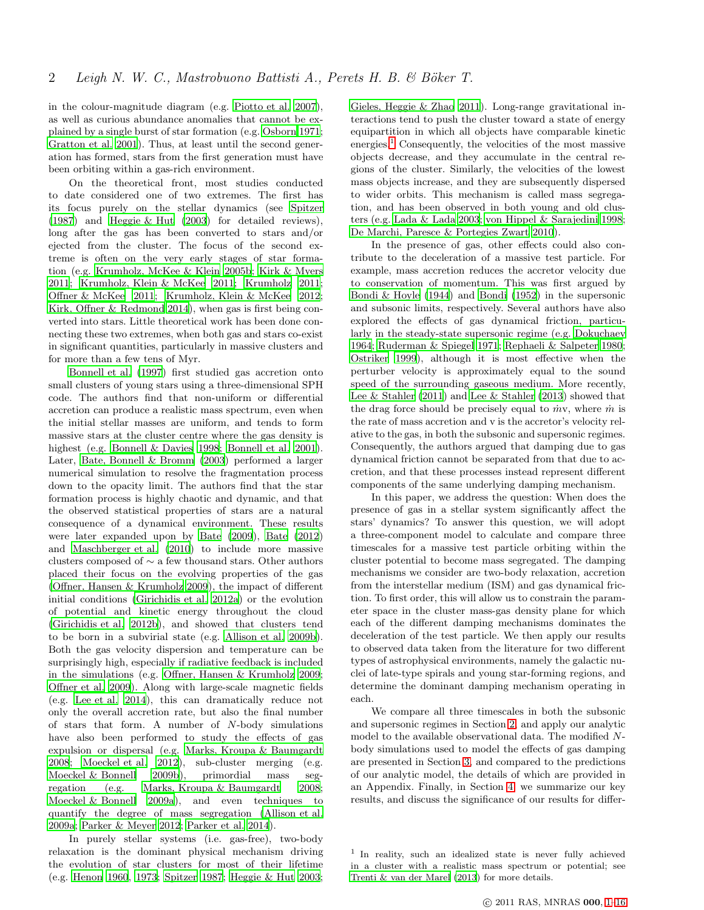in the colour-magnitude diagram (e.g. [Piotto et al. 2007](#page-13-3)), as well as curious abundance anomalies that cannot be explained by a single burst of star formation (e.g. [Osborn 1971;](#page-13-4) [Gratton et al. 2001\)](#page-12-11). Thus, at least until the second generation has formed, stars from the first generation must have been orbiting within a gas-rich environment.

On the theoretical front, most studies conducted to date considered one of two extremes. The first has its focus purely on the stellar dynamics (see [Spitzer](#page-13-5) [\(1987](#page-13-5)) and [Heggie & Hut \(2003\)](#page-12-12) for detailed reviews), long after the gas has been converted to stars and/or ejected from the cluster. The focus of the second extreme is often on the very early stages of star formation (e.g. [Krumholz, McKee & Klein 2005b;](#page-12-13) [Kirk & Myers](#page-12-14) [2011](#page-12-14); [Krumholz, Klein & McKee 2011;](#page-12-15) [Krumholz 2011;](#page-12-16) [Offner & McKee 2011](#page-13-6); [Krumholz, Klein & McKee 2012;](#page-12-17) [Kirk, Offner & Redmond 2014](#page-12-18)), when gas is first being converted into stars. Little theoretical work has been done connecting these two extremes, when both gas and stars co-exist in significant quantities, particularly in massive clusters and for more than a few tens of Myr.

[Bonnell et al. \(1997](#page-12-19)) first studied gas accretion onto small clusters of young stars using a three-dimensional SPH code. The authors find that non-uniform or differential accretion can produce a realistic mass spectrum, even when the initial stellar masses are uniform, and tends to form massive stars at the cluster centre where the gas density is highest (e.g. [Bonnell & Davies 1998;](#page-12-20) [Bonnell et al. 2001](#page-12-21)). Later, [Bate, Bonnell & Bromm \(2003](#page-12-22)) performed a larger numerical simulation to resolve the fragmentation process down to the opacity limit. The authors find that the star formation process is highly chaotic and dynamic, and that the observed statistical properties of stars are a natural consequence of a dynamical environment. These results were later expanded upon by [Bate \(2009\)](#page-12-23), [Bate \(2012](#page-12-24)) and [Maschberger et al. \(2010](#page-12-25)) to include more massive clusters composed of ∼ a few thousand stars. Other authors placed their focus on the evolving properties of the gas [\(Offner, Hansen & Krumholz 2009](#page-12-26)), the impact of different initial conditions [\(Girichidis et al. 2012a](#page-12-27)) or the evolution of potential and kinetic energy throughout the cloud [\(Girichidis et al. 2012b](#page-12-28)), and showed that clusters tend to be born in a subvirial state (e.g. [Allison et al. 2009b](#page-12-29)). Both the gas velocity dispersion and temperature can be surprisingly high, especially if radiative feedback is included in the simulations (e.g. [Offner, Hansen & Krumholz 2009;](#page-12-26) [Offner et al. 2009\)](#page-12-30). Along with large-scale magnetic fields (e.g. [Lee et al. 2014](#page-12-31)), this can dramatically reduce not only the overall accretion rate, but also the final number of stars that form. A number of N-body simulations have also been performed to study the effects of gas expulsion or dispersal (e.g. [Marks, Kroupa & Baumgardt](#page-12-32) [2008](#page-12-32); [Moeckel et al. 2012](#page-12-33)), sub-cluster merging (e.g. [Moeckel & Bonnell 2009b](#page-12-34)), primordial mass segregation (e.g. [Marks, Kroupa & Baumgardt 2008;](#page-12-32) [Moeckel & Bonnell 2009a](#page-12-35)), and even techniques to quantify the degree of mass segregation [\(Allison et al.](#page-12-36) [2009a](#page-12-36); [Parker & Meyer 2012;](#page-13-7) [Parker et al. 2014](#page-13-8)).

In purely stellar systems (i.e. gas-free), two-body relaxation is the dominant physical mechanism driving the evolution of star clusters for most of their lifetime (e.g. [Henon 1960,](#page-12-37) [1973;](#page-12-38) [Spitzer 1987;](#page-13-5) [Heggie & Hut 2003;](#page-12-12) [Gieles, Heggie & Zhao 2011\)](#page-12-39). Long-range gravitational interactions tend to push the cluster toward a state of energy equipartition in which all objects have comparable kinetic energies.<sup>[1](#page-1-0)</sup> Consequently, the velocities of the most massive objects decrease, and they accumulate in the central regions of the cluster. Similarly, the velocities of the lowest mass objects increase, and they are subsequently dispersed to wider orbits. This mechanism is called mass segregation, and has been observed in both young and old clusters (e.g. [Lada & Lada 2003](#page-12-2); [von Hippel & Sarajedini 1998](#page-13-9); [De Marchi, Paresce & Portegies Zwart 2010\)](#page-12-40).

In the presence of gas, other effects could also contribute to the deceleration of a massive test particle. For example, mass accretion reduces the accretor velocity due to conservation of momentum. This was first argued by [Bondi & Hoyle \(1944\)](#page-12-41) and [Bondi \(1952\)](#page-12-42) in the supersonic and subsonic limits, respectively. Several authors have also explored the effects of gas dynamical friction, particularly in the steady-state supersonic regime (e.g. [Dokuchaev](#page-12-43) [1964](#page-12-43); [Ruderman & Spiegel 1971;](#page-13-10) [Rephaeli & Salpeter 1980](#page-13-11); [Ostriker 1999](#page-13-12)), although it is most effective when the perturber velocity is approximately equal to the sound speed of the surrounding gaseous medium. More recently, [Lee & Stahler \(2011\)](#page-12-44) and [Lee & Stahler \(2013\)](#page-12-45) showed that the drag force should be precisely equal to  $\dot{m}v$ , where  $\dot{m}$  is the rate of mass accretion and v is the accretor's velocity relative to the gas, in both the subsonic and supersonic regimes. Consequently, the authors argued that damping due to gas dynamical friction cannot be separated from that due to accretion, and that these processes instead represent different components of the same underlying damping mechanism.

In this paper, we address the question: When does the presence of gas in a stellar system significantly affect the stars' dynamics? To answer this question, we will adopt a three-component model to calculate and compare three timescales for a massive test particle orbiting within the cluster potential to become mass segregated. The damping mechanisms we consider are two-body relaxation, accretion from the interstellar medium (ISM) and gas dynamical friction. To first order, this will allow us to constrain the parameter space in the cluster mass-gas density plane for which each of the different damping mechanisms dominates the deceleration of the test particle. We then apply our results to observed data taken from the literature for two different types of astrophysical environments, namely the galactic nuclei of late-type spirals and young star-forming regions, and determine the dominant damping mechanism operating in each.

We compare all three timescales in both the subsonic and supersonic regimes in Section [2,](#page-2-0) and apply our analytic model to the available observational data. The modified Nbody simulations used to model the effects of gas damping are presented in Section [3,](#page-4-0) and compared to the predictions of our analytic model, the details of which are provided in an Appendix. Finally, in Section [4,](#page-7-0) we summarize our key results, and discuss the significance of our results for differ-

<span id="page-1-0"></span><sup>1</sup> In reality, such an idealized state is never fully achieved in a cluster with a realistic mass spectrum or potential; see [Trenti & van der Marel \(2013\)](#page-13-13) for more details.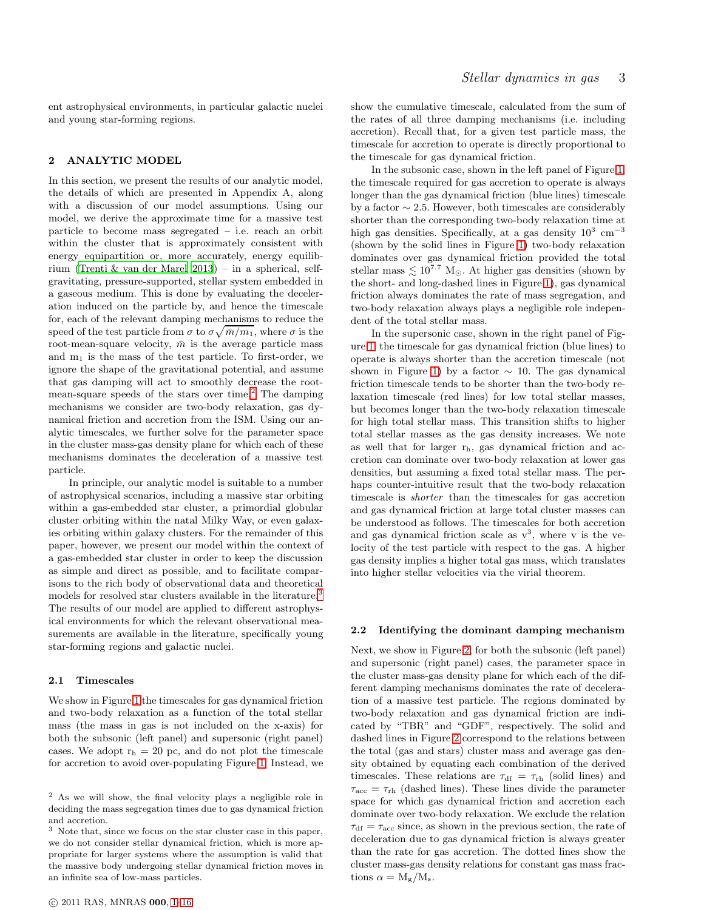ent astrophysical environments, in particular galactic nuclei and young star-forming regions.

# <span id="page-2-0"></span>2 ANALYTIC MODEL

In this section, we present the results of our analytic model, the details of which are presented in Appendix A, along with a discussion of our model assumptions. Using our model, we derive the approximate time for a massive test particle to become mass segregated – i.e. reach an orbit within the cluster that is approximately consistent with energy equipartition or, more accurately, energy equilibrium [\(Trenti & van der Marel 2013\)](#page-13-13) – in a spherical, selfgravitating, pressure-supported, stellar system embedded in a gaseous medium. This is done by evaluating the deceleration induced on the particle by, and hence the timescale for, each of the relevant damping mechanisms to reduce the speed of the test particle from  $\sigma$  to  $\sigma\sqrt{\bar{m}/m_1}$ , where  $\sigma$  is the root-mean-square velocity,  $\bar{m}$  is the average particle mass and  $m_1$  is the mass of the test particle. To first-order, we ignore the shape of the gravitational potential, and assume that gas damping will act to smoothly decrease the rootmean-square speeds of the stars over time. $^{2}$  $^{2}$  $^{2}$  The damping mechanisms we consider are two-body relaxation, gas dynamical friction and accretion from the ISM. Using our analytic timescales, we further solve for the parameter space in the cluster mass-gas density plane for which each of these mechanisms dominates the deceleration of a massive test particle.

In principle, our analytic model is suitable to a number of astrophysical scenarios, including a massive star orbiting within a gas-embedded star cluster, a primordial globular cluster orbiting within the natal Milky Way, or even galaxies orbiting within galaxy clusters. For the remainder of this paper, however, we present our model within the context of a gas-embedded star cluster in order to keep the discussion as simple and direct as possible, and to facilitate comparisons to the rich body of observational data and theoretical models for resolved star clusters available in the literature.<sup>[3](#page-2-2)</sup> The results of our model are applied to different astrophysical environments for which the relevant observational measurements are available in the literature, specifically young star-forming regions and galactic nuclei.

## 2.1 Timescales

We show in Figure [1](#page-3-0) the timescales for gas dynamical friction and two-body relaxation as a function of the total stellar mass (the mass in gas is not included on the x-axis) for both the subsonic (left panel) and supersonic (right panel) cases. We adopt  $r_h = 20$  pc, and do not plot the timescale for accretion to avoid over-populating Figure [1.](#page-3-0) Instead, we show the cumulative timescale, calculated from the sum of the rates of all three damping mechanisms (i.e. including accretion). Recall that, for a given test particle mass, the timescale for accretion to operate is directly proportional to the timescale for gas dynamical friction.

In the subsonic case, shown in the left panel of Figure [1,](#page-3-0) the timescale required for gas accretion to operate is always longer than the gas dynamical friction (blue lines) timescale by a factor  $\sim$  2.5. However, both timescales are considerably shorter than the corresponding two-body relaxation time at high gas densities. Specifically, at a gas density  $10^3$  cm<sup>-3</sup> (shown by the solid lines in Figure [1\)](#page-3-0) two-body relaxation dominates over gas dynamical friction provided the total stellar mass  $\lesssim 10^{7.7}$  M<sub>☉</sub>. At higher gas densities (shown by the short- and long-dashed lines in Figure [1\)](#page-3-0), gas dynamical friction always dominates the rate of mass segregation, and two-body relaxation always plays a negligible role independent of the total stellar mass.

In the supersonic case, shown in the right panel of Figure [1,](#page-3-0) the timescale for gas dynamical friction (blue lines) to operate is always shorter than the accretion timescale (not shown in Figure [1\)](#page-3-0) by a factor  $\sim$  10. The gas dynamical friction timescale tends to be shorter than the two-body relaxation timescale (red lines) for low total stellar masses, but becomes longer than the two-body relaxation timescale for high total stellar mass. This transition shifts to higher total stellar masses as the gas density increases. We note as well that for larger rh, gas dynamical friction and accretion can dominate over two-body relaxation at lower gas densities, but assuming a fixed total stellar mass. The perhaps counter-intuitive result that the two-body relaxation timescale is shorter than the timescales for gas accretion and gas dynamical friction at large total cluster masses can be understood as follows. The timescales for both accretion and gas dynamical friction scale as  $v^3$ , where v is the velocity of the test particle with respect to the gas. A higher gas density implies a higher total gas mass, which translates into higher stellar velocities via the virial theorem.

# 2.2 Identifying the dominant damping mechanism

Next, we show in Figure [2,](#page-3-1) for both the subsonic (left panel) and supersonic (right panel) cases, the parameter space in the cluster mass-gas density plane for which each of the different damping mechanisms dominates the rate of deceleration of a massive test particle. The regions dominated by two-body relaxation and gas dynamical friction are indicated by "TBR" and "GDF", respectively. The solid and dashed lines in Figure [2](#page-3-1) correspond to the relations between the total (gas and stars) cluster mass and average gas density obtained by equating each combination of the derived timescales. These relations are  $\tau_{df} = \tau_{rh}$  (solid lines) and  $\tau_{\text{acc}} = \tau_{\text{rh}}$  (dashed lines). These lines divide the parameter space for which gas dynamical friction and accretion each dominate over two-body relaxation. We exclude the relation  $\tau_{df} = \tau_{\text{acc}}$  since, as shown in the previous section, the rate of deceleration due to gas dynamical friction is always greater than the rate for gas accretion. The dotted lines show the cluster mass-gas density relations for constant gas mass fractions  $\alpha = M_{\rm g}/M_{\rm s}$ .

<span id="page-2-1"></span><sup>2</sup> As we will show, the final velocity plays a negligible role in deciding the mass segregation times due to gas dynamical friction and accretion.

<span id="page-2-2"></span> $3$  Note that, since we focus on the star cluster case in this paper, we do not consider stellar dynamical friction, which is more appropriate for larger systems where the assumption is valid that the massive body undergoing stellar dynamical friction moves in an infinite sea of low-mass particles.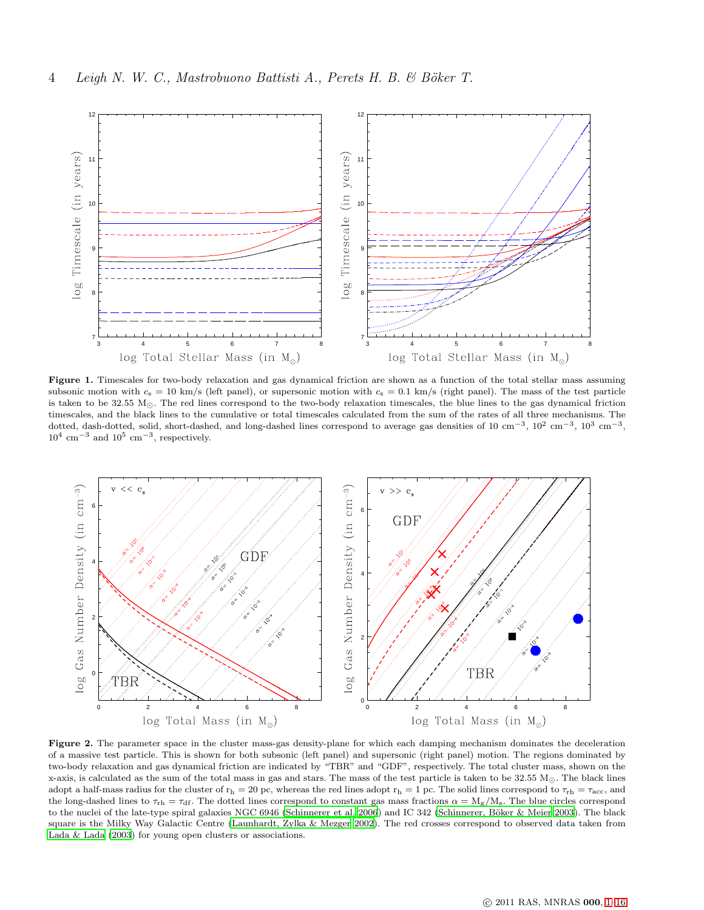

<span id="page-3-0"></span>Figure 1. Timescales for two-body relaxation and gas dynamical friction are shown as a function of the total stellar mass assuming subsonic motion with  $c_s = 10 \text{ km/s}$  (left panel), or supersonic motion with  $c_s = 0.1 \text{ km/s}$  (right panel). The mass of the test particle is taken to be 32.55  $M_{\odot}$ . The red lines correspond to the two-body relaxation timescales, the blue lines to the gas dynamical friction timescales, and the black lines to the cumulative or total timescales calculated from the sum of the rates of all three mechanisms. The dotted, dash-dotted, solid, short-dashed, and long-dashed lines correspond to average gas densities of 10 cm<sup>-3</sup>, 10<sup>2</sup> cm<sup>-3</sup>, 10<sup>3</sup> cm<sup>-3</sup>,  $10^4$  cm<sup>-3</sup> and  $10^5$  cm<sup>-3</sup>, respectively.



<span id="page-3-1"></span>Figure 2. The parameter space in the cluster mass-gas density-plane for which each damping mechanism dominates the deceleration of a massive test particle. This is shown for both subsonic (left panel) and supersonic (right panel) motion. The regions dominated by two-body relaxation and gas dynamical friction are indicated by "TBR" and "GDF", respectively. The total cluster mass, shown on the x-axis, is calculated as the sum of the total mass in gas and stars. The mass of the test particle is taken to be  $32.55 M_{\odot}$ . The black lines adopt a half-mass radius for the cluster of  $r_h = 20$  pc, whereas the red lines adopt  $r_h = 1$  pc. The solid lines correspond to  $\tau_{rh} = \tau_{acc}$ , and the long-dashed lines to  $\tau_{rh} = \tau_{df}$ . The dotted lines correspond to constant gas mass fractions  $\alpha = M_g/M_s$ . The blue circles correspond to the nuclei of the late-type spiral galaxies NGC 6946 [\(Schinnerer et al. 2006\)](#page-13-2) and IC 342 (Schinnerer, Böker & Meier 2003). The black square is the Milky Way Galactic Centre [\(Launhardt, Zylka & Mezger 2002](#page-12-46)). The red crosses correspond to observed data taken from [Lada & Lada \(2003](#page-12-2)) for young open clusters or associations.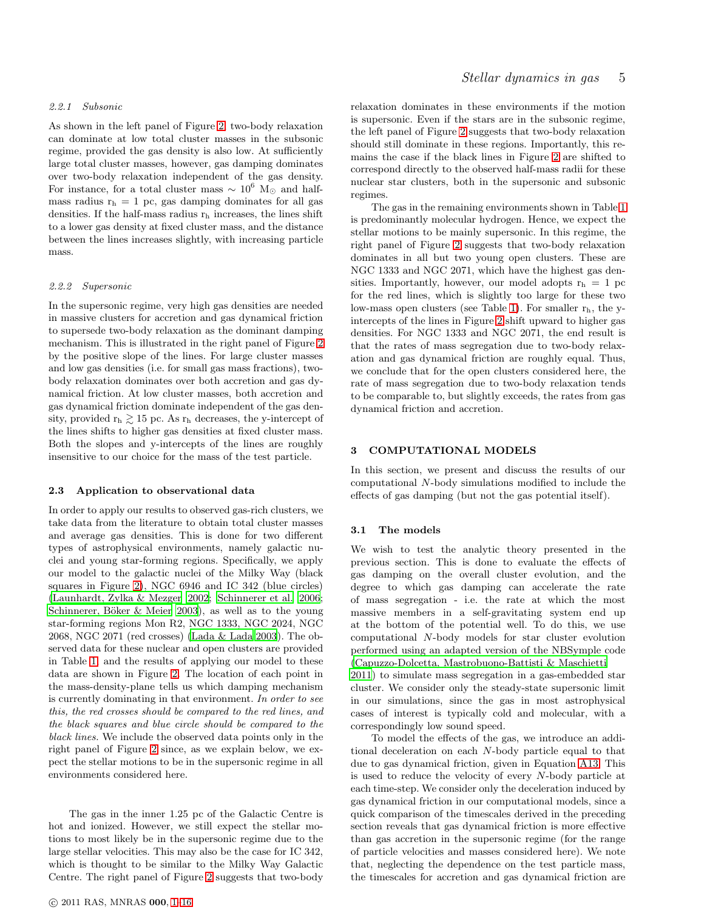# 2.2.1 Subsonic

As shown in the left panel of Figure [2,](#page-3-1) two-body relaxation can dominate at low total cluster masses in the subsonic regime, provided the gas density is also low. At sufficiently large total cluster masses, however, gas damping dominates over two-body relaxation independent of the gas density. For instance, for a total cluster mass  $\sim 10^6$  M<sub>☉</sub> and halfmass radius  $r_h = 1$  pc, gas damping dominates for all gas densities. If the half-mass radius  $r<sub>h</sub>$  increases, the lines shift to a lower gas density at fixed cluster mass, and the distance between the lines increases slightly, with increasing particle mass.

## 2.2.2 Supersonic

In the supersonic regime, very high gas densities are needed in massive clusters for accretion and gas dynamical friction to supersede two-body relaxation as the dominant damping mechanism. This is illustrated in the right panel of Figure [2](#page-3-1) by the positive slope of the lines. For large cluster masses and low gas densities (i.e. for small gas mass fractions), twobody relaxation dominates over both accretion and gas dynamical friction. At low cluster masses, both accretion and gas dynamical friction dominate independent of the gas density, provided  $r_h \gtrsim 15$  pc. As  $r_h$  decreases, the y-intercept of the lines shifts to higher gas densities at fixed cluster mass. Both the slopes and y-intercepts of the lines are roughly insensitive to our choice for the mass of the test particle.

## 2.3 Application to observational data

In order to apply our results to observed gas-rich clusters, we take data from the literature to obtain total cluster masses and average gas densities. This is done for two different types of astrophysical environments, namely galactic nuclei and young star-forming regions. Specifically, we apply our model to the galactic nuclei of the Milky Way (black squares in Figure [2\)](#page-3-1), NGC 6946 and IC 342 (blue circles) [\(Launhardt, Zylka & Mezger 2002;](#page-12-46) [Schinnerer et al. 2006;](#page-13-2) Schinnerer, Böker & Meier 2003), as well as to the young star-forming regions Mon R2, NGC 1333, NGC 2024, NGC 2068, NGC 2071 (red crosses) [\(Lada & Lada 2003](#page-12-2)). The observed data for these nuclear and open clusters are provided in Table [1,](#page-5-0) and the results of applying our model to these data are shown in Figure [2.](#page-3-1) The location of each point in the mass-density-plane tells us which damping mechanism is currently dominating in that environment. In order to see this, the red crosses should be compared to the red lines, and the black squares and blue circle should be compared to the black lines. We include the observed data points only in the right panel of Figure [2](#page-3-1) since, as we explain below, we expect the stellar motions to be in the supersonic regime in all environments considered here.

The gas in the inner 1.25 pc of the Galactic Centre is hot and ionized. However, we still expect the stellar motions to most likely be in the supersonic regime due to the large stellar velocities. This may also be the case for IC 342, which is thought to be similar to the Milky Way Galactic Centre. The right panel of Figure [2](#page-3-1) suggests that two-body relaxation dominates in these environments if the motion is supersonic. Even if the stars are in the subsonic regime, the left panel of Figure [2](#page-3-1) suggests that two-body relaxation should still dominate in these regions. Importantly, this remains the case if the black lines in Figure [2](#page-3-1) are shifted to correspond directly to the observed half-mass radii for these nuclear star clusters, both in the supersonic and subsonic regimes.

The gas in the remaining environments shown in Table [1](#page-5-0) is predominantly molecular hydrogen. Hence, we expect the stellar motions to be mainly supersonic. In this regime, the right panel of Figure [2](#page-3-1) suggests that two-body relaxation dominates in all but two young open clusters. These are NGC 1333 and NGC 2071, which have the highest gas densities. Importantly, however, our model adopts  $r_h = 1$  pc for the red lines, which is slightly too large for these two low-mass open clusters (see Table [1\)](#page-5-0). For smaller  $r<sub>h</sub>$ , the yintercepts of the lines in Figure [2](#page-3-1) shift upward to higher gas densities. For NGC 1333 and NGC 2071, the end result is that the rates of mass segregation due to two-body relaxation and gas dynamical friction are roughly equal. Thus, we conclude that for the open clusters considered here, the rate of mass segregation due to two-body relaxation tends to be comparable to, but slightly exceeds, the rates from gas dynamical friction and accretion.

## <span id="page-4-0"></span>3 COMPUTATIONAL MODELS

In this section, we present and discuss the results of our computational N-body simulations modified to include the effects of gas damping (but not the gas potential itself).

#### 3.1 The models

We wish to test the analytic theory presented in the previous section. This is done to evaluate the effects of gas damping on the overall cluster evolution, and the degree to which gas damping can accelerate the rate of mass segregation - i.e. the rate at which the most massive members in a self-gravitating system end up at the bottom of the potential well. To do this, we use computational N-body models for star cluster evolution performed using an adapted version of the NBSymple code [\(Capuzzo-Dolcetta, Mastrobuono-Battisti & Maschietti](#page-12-47)

[2011](#page-12-47)) to simulate mass segregation in a gas-embedded star cluster. We consider only the steady-state supersonic limit in our simulations, since the gas in most astrophysical cases of interest is typically cold and molecular, with a correspondingly low sound speed.

To model the effects of the gas, we introduce an additional deceleration on each N-body particle equal to that due to gas dynamical friction, given in Equation [A13.](#page-15-0) This is used to reduce the velocity of every N-body particle at each time-step. We consider only the deceleration induced by gas dynamical friction in our computational models, since a quick comparison of the timescales derived in the preceding section reveals that gas dynamical friction is more effective than gas accretion in the supersonic regime (for the range of particle velocities and masses considered here). We note that, neglecting the dependence on the test particle mass, the timescales for accretion and gas dynamical friction are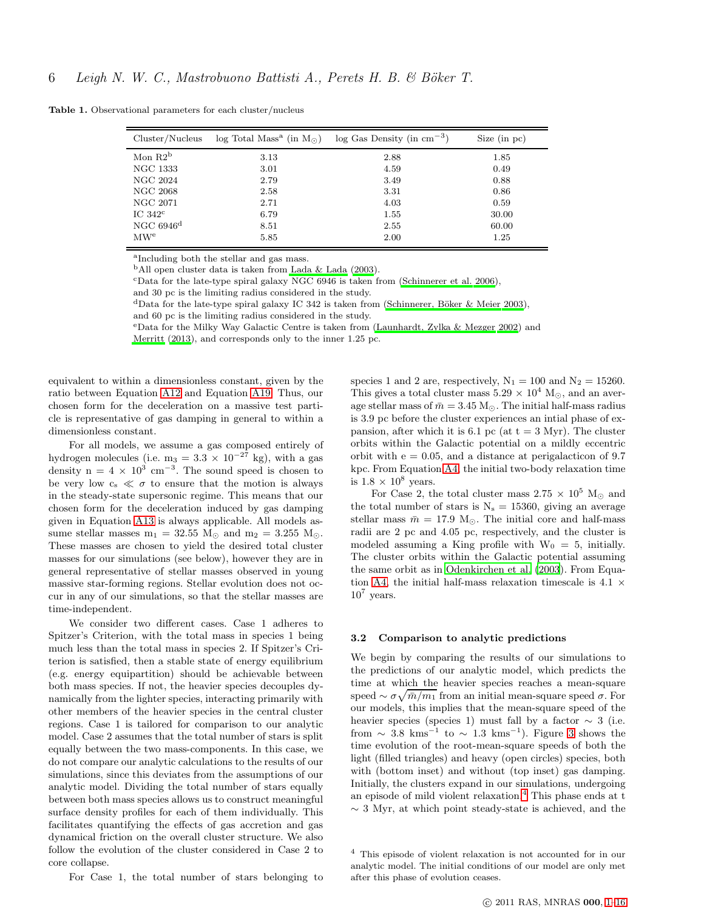<span id="page-5-0"></span>

| Cluster/Nucleus         | $\log$ Total Mass <sup>a</sup> (in M <sub>o</sub> ) | $\log$ Gas Density (in cm <sup>-3</sup> ) | Size (in pc) |
|-------------------------|-----------------------------------------------------|-------------------------------------------|--------------|
| Mon $R2^b$              | 3.13                                                | 2.88                                      | 1.85         |
| <b>NGC 1333</b>         | 3.01                                                | 4.59                                      | 0.49         |
| NGC 2024                | 2.79                                                | 3.49                                      | 0.88         |
| NGC 2068                | 2.58                                                | 3.31                                      | 0.86         |
| NGC 2071                | 2.71                                                | 4.03                                      | 0.59         |
| IC.342 <sup>c</sup>     | 6.79                                                | 1.55                                      | 30.00        |
| NGC $6946$ <sup>d</sup> | 8.51                                                | 2.55                                      | 60.00        |
| MW <sup>e</sup>         | 5.85                                                | 2.00                                      | 1.25         |

Table 1. Observational parameters for each cluster/nucleus

a Including both the stellar and gas mass.

 $b$ All open cluster data is taken from [Lada & Lada \(2003](#page-12-2)).

<sup>c</sup>Data for the late-type spiral galaxy NGC 6946 is taken from [\(Schinnerer et al. 2006](#page-13-2)),

and 30 pc is the limiting radius considered in the study.

<sup>d</sup>Data for the late-type spiral galaxy IC 342 is taken from (Schinnerer, Böker & Meier 2003),

and 60 pc is the limiting radius considered in the study.

<sup>e</sup>Data for the Milky Way Galactic Centre is taken from [\(Launhardt, Zylka & Mezger 2002\)](#page-12-46) and

[Merritt \(2013\)](#page-12-48), and corresponds only to the inner 1.25 pc.

equivalent to within a dimensionless constant, given by the ratio between Equation [A12](#page-15-1) and Equation [A19.](#page-16-0) Thus, our chosen form for the deceleration on a massive test particle is representative of gas damping in general to within a dimensionless constant.

For all models, we assume a gas composed entirely of hydrogen molecules (i.e. m<sub>3</sub> =  $3.3 \times 10^{-27}$  kg), with a gas density  $n = 4 \times 10^3$  cm<sup>-3</sup>. The sound speed is chosen to be very low  $c_s \ll \sigma$  to ensure that the motion is always in the steady-state supersonic regime. This means that our chosen form for the deceleration induced by gas damping given in Equation [A13](#page-15-0) is always applicable. All models assume stellar masses  $m_1 = 32.55$   $M_{\odot}$  and  $m_2 = 3.255$   $M_{\odot}$ . These masses are chosen to yield the desired total cluster masses for our simulations (see below), however they are in general representative of stellar masses observed in young massive star-forming regions. Stellar evolution does not occur in any of our simulations, so that the stellar masses are time-independent.

We consider two different cases. Case 1 adheres to Spitzer's Criterion, with the total mass in species 1 being much less than the total mass in species 2. If Spitzer's Criterion is satisfied, then a stable state of energy equilibrium (e.g. energy equipartition) should be achievable between both mass species. If not, the heavier species decouples dynamically from the lighter species, interacting primarily with other members of the heavier species in the central cluster regions. Case 1 is tailored for comparison to our analytic model. Case 2 assumes that the total number of stars is split equally between the two mass-components. In this case, we do not compare our analytic calculations to the results of our simulations, since this deviates from the assumptions of our analytic model. Dividing the total number of stars equally between both mass species allows us to construct meaningful surface density profiles for each of them individually. This facilitates quantifying the effects of gas accretion and gas dynamical friction on the overall cluster structure. We also follow the evolution of the cluster considered in Case 2 to core collapse.

For Case 1, the total number of stars belonging to

species 1 and 2 are, respectively,  $N_1 = 100$  and  $N_2 = 15260$ . This gives a total cluster mass  $5.29 \times 10^4$  M<sub>☉</sub>, and an average stellar mass of  $\bar{m} = 3.45$  M<sub>☉</sub>. The initial half-mass radius is 3.9 pc before the cluster experiences an intial phase of expansion, after which it is 6.1 pc (at  $t = 3$  Myr). The cluster orbits within the Galactic potential on a mildly eccentric orbit with  $e = 0.05$ , and a distance at perigalacticon of 9.7 kpc. From Equation [A4,](#page-13-15) the initial two-body relaxation time is  $1.8 \times 10^8$  years.

For Case 2, the total cluster mass  $2.75 \times 10^5$  M<sub>☉</sub> and the total number of stars is  $N_s = 15360$ , giving an average stellar mass  $\bar{m} = 17.9 \text{ M}_{\odot}$ . The initial core and half-mass radii are 2 pc and 4.05 pc, respectively, and the cluster is modeled assuming a King profile with  $W_0 = 5$ , initially. The cluster orbits within the Galactic potential assuming the same orbit as in [Odenkirchen et al. \(2003](#page-12-49)). From Equa-tion [A4,](#page-13-15) the initial half-mass relaxation timescale is  $4.1 \times$  $10^7$  years.

#### 3.2 Comparison to analytic predictions

We begin by comparing the results of our simulations to the predictions of our analytic model, which predicts the time at which the heavier species reaches a mean-square speed  $\sim \sigma \sqrt{\bar{m}/m_1}$  from an initial mean-square speed  $\sigma$ . For our models, this implies that the mean-square speed of the heavier species (species 1) must fall by a factor  $\sim$  3 (i.e. from  $\sim$  [3](#page-7-1).8 kms<sup>-1</sup> to  $\sim$  1.3 kms<sup>-1</sup>). Figure 3 shows the time evolution of the root-mean-square speeds of both the light (filled triangles) and heavy (open circles) species, both with (bottom inset) and without (top inset) gas damping. Initially, the clusters expand in our simulations, undergoing an episode of mild violent relaxation.<sup>[4](#page-5-1)</sup> This phase ends at t ∼ 3 Myr, at which point steady-state is achieved, and the

<span id="page-5-1"></span><sup>4</sup> This episode of violent relaxation is not accounted for in our analytic model. The initial conditions of our model are only met after this phase of evolution ceases.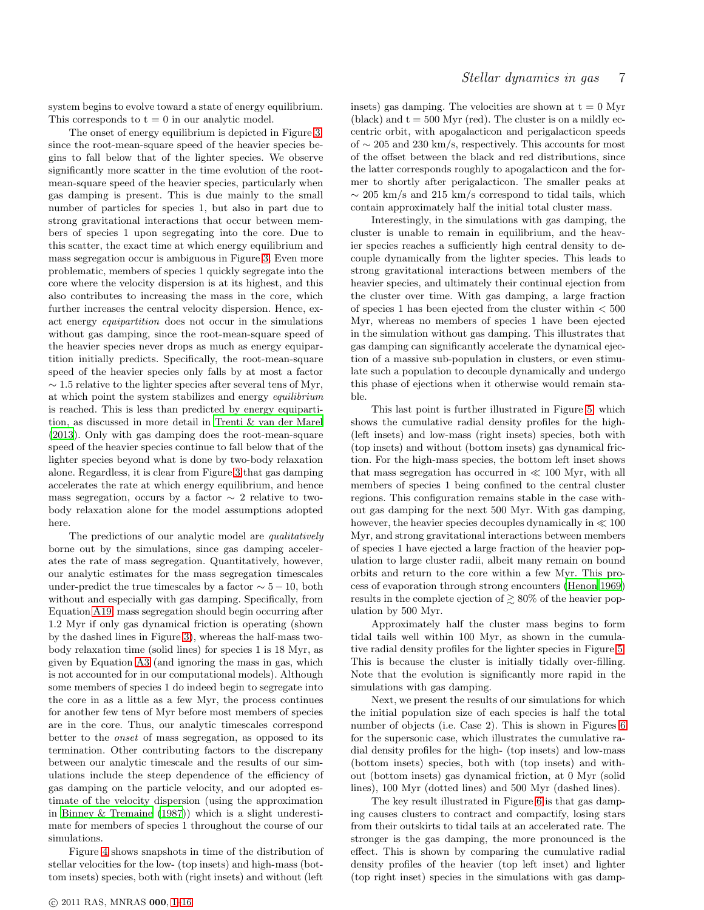system begins to evolve toward a state of energy equilibrium. This corresponds to  $t = 0$  in our analytic model.

The onset of energy equilibrium is depicted in Figure [3,](#page-7-1) since the root-mean-square speed of the heavier species begins to fall below that of the lighter species. We observe significantly more scatter in the time evolution of the rootmean-square speed of the heavier species, particularly when gas damping is present. This is due mainly to the small number of particles for species 1, but also in part due to strong gravitational interactions that occur between members of species 1 upon segregating into the core. Due to this scatter, the exact time at which energy equilibrium and mass segregation occur is ambiguous in Figure [3.](#page-7-1) Even more problematic, members of species 1 quickly segregate into the core where the velocity dispersion is at its highest, and this also contributes to increasing the mass in the core, which further increases the central velocity dispersion. Hence, exact energy equipartition does not occur in the simulations without gas damping, since the root-mean-square speed of the heavier species never drops as much as energy equipartition initially predicts. Specifically, the root-mean-square speed of the heavier species only falls by at most a factor  $\sim$  1.5 relative to the lighter species after several tens of Myr, at which point the system stabilizes and energy equilibrium is reached. This is less than predicted by energy equipartition, as discussed in more detail in [Trenti & van der Marel](#page-13-13) [\(2013](#page-13-13)). Only with gas damping does the root-mean-square speed of the heavier species continue to fall below that of the lighter species beyond what is done by two-body relaxation alone. Regardless, it is clear from Figure [3](#page-7-1) that gas damping accelerates the rate at which energy equilibrium, and hence mass segregation, occurs by a factor  $\sim$  2 relative to twobody relaxation alone for the model assumptions adopted here.

The predictions of our analytic model are *qualitatively* borne out by the simulations, since gas damping accelerates the rate of mass segregation. Quantitatively, however, our analytic estimates for the mass segregation timescales under-predict the true timescales by a factor  $\sim 5 - 10$ , both without and especially with gas damping. Specifically, from Equation [A19,](#page-16-0) mass segregation should begin occurring after 1.2 Myr if only gas dynamical friction is operating (shown by the dashed lines in Figure [3\)](#page-7-1), whereas the half-mass twobody relaxation time (solid lines) for species 1 is 18 Myr, as given by Equation [A3](#page-13-16) (and ignoring the mass in gas, which is not accounted for in our computational models). Although some members of species 1 do indeed begin to segregate into the core in as a little as a few Myr, the process continues for another few tens of Myr before most members of species are in the core. Thus, our analytic timescales correspond better to the onset of mass segregation, as opposed to its termination. Other contributing factors to the discrepany between our analytic timescale and the results of our simulations include the steep dependence of the efficiency of gas damping on the particle velocity, and our adopted estimate of the velocity dispersion (using the approximation in [Binney & Tremaine \(1987\)](#page-12-50)) which is a slight underestimate for members of species 1 throughout the course of our simulations.

Figure [4](#page-7-2) shows snapshots in time of the distribution of stellar velocities for the low- (top insets) and high-mass (bottom insets) species, both with (right insets) and without (left insets) gas damping. The velocities are shown at  $t = 0$  Myr (black) and  $t = 500$  Myr (red). The cluster is on a mildly eccentric orbit, with apogalacticon and perigalacticon speeds of ∼ 205 and 230 km/s, respectively. This accounts for most of the offset between the black and red distributions, since the latter corresponds roughly to apogalacticon and the former to shortly after perigalacticon. The smaller peaks at  $\sim$  205 km/s and 215 km/s correspond to tidal tails, which contain approximately half the initial total cluster mass.

Interestingly, in the simulations with gas damping, the cluster is unable to remain in equilibrium, and the heavier species reaches a sufficiently high central density to decouple dynamically from the lighter species. This leads to strong gravitational interactions between members of the heavier species, and ultimately their continual ejection from the cluster over time. With gas damping, a large fraction of species 1 has been ejected from the cluster within  $< 500$ Myr, whereas no members of species 1 have been ejected in the simulation without gas damping. This illustrates that gas damping can significantly accelerate the dynamical ejection of a massive sub-population in clusters, or even stimulate such a population to decouple dynamically and undergo this phase of ejections when it otherwise would remain stable.

This last point is further illustrated in Figure [5,](#page-8-0) which shows the cumulative radial density profiles for the high- (left insets) and low-mass (right insets) species, both with (top insets) and without (bottom insets) gas dynamical friction. For the high-mass species, the bottom left inset shows that mass segregation has occurred in  $\ll 100$  Myr, with all members of species 1 being confined to the central cluster regions. This configuration remains stable in the case without gas damping for the next 500 Myr. With gas damping, however, the heavier species decouples dynamically in  $\ll 100$ Myr, and strong gravitational interactions between members of species 1 have ejected a large fraction of the heavier population to large cluster radii, albeit many remain on bound orbits and return to the core within a few Myr. This process of evaporation through strong encounters [\(Henon 1969](#page-12-51)) results in the complete ejection of  $\gtrsim 80\%$  of the heavier population by 500 Myr.

Approximately half the cluster mass begins to form tidal tails well within 100 Myr, as shown in the cumulative radial density profiles for the lighter species in Figure [5.](#page-8-0) This is because the cluster is initially tidally over-filling. Note that the evolution is significantly more rapid in the simulations with gas damping.

Next, we present the results of our simulations for which the initial population size of each species is half the total number of objects (i.e. Case 2). This is shown in Figures [6](#page-8-1) for the supersonic case, which illustrates the cumulative radial density profiles for the high- (top insets) and low-mass (bottom insets) species, both with (top insets) and without (bottom insets) gas dynamical friction, at 0 Myr (solid lines), 100 Myr (dotted lines) and 500 Myr (dashed lines).

The key result illustrated in Figure [6](#page-8-1) is that gas damping causes clusters to contract and compactify, losing stars from their outskirts to tidal tails at an accelerated rate. The stronger is the gas damping, the more pronounced is the effect. This is shown by comparing the cumulative radial density profiles of the heavier (top left inset) and lighter (top right inset) species in the simulations with gas damp-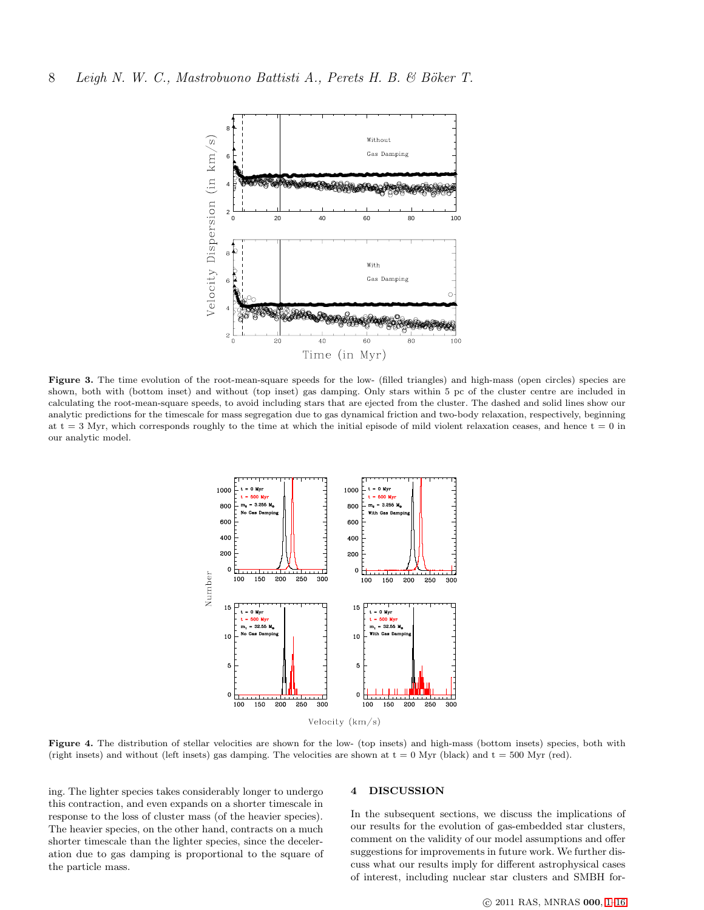

<span id="page-7-1"></span>Figure 3. The time evolution of the root-mean-square speeds for the low- (filled triangles) and high-mass (open circles) species are shown, both with (bottom inset) and without (top inset) gas damping. Only stars within 5 pc of the cluster centre are included in calculating the root-mean-square speeds, to avoid including stars that are ejected from the cluster. The dashed and solid lines show our analytic predictions for the timescale for mass segregation due to gas dynamical friction and two-body relaxation, respectively, beginning at  $t = 3$  Myr, which corresponds roughly to the time at which the initial episode of mild violent relaxation ceases, and hence  $t = 0$  in our analytic model.



Velocity (km/s)

<span id="page-7-2"></span>Figure 4. The distribution of stellar velocities are shown for the low- (top insets) and high-mass (bottom insets) species, both with (right insets) and without (left insets) gas damping. The velocities are shown at  $t = 0$  Myr (black) and  $t = 500$  Myr (red).

ing. The lighter species takes considerably longer to undergo this contraction, and even expands on a shorter timescale in response to the loss of cluster mass (of the heavier species). The heavier species, on the other hand, contracts on a much shorter timescale than the lighter species, since the deceleration due to gas damping is proportional to the square of the particle mass.

# <span id="page-7-0"></span>4 DISCUSSION

In the subsequent sections, we discuss the implications of our results for the evolution of gas-embedded star clusters, comment on the validity of our model assumptions and offer suggestions for improvements in future work. We further discuss what our results imply for different astrophysical cases of interest, including nuclear star clusters and SMBH for-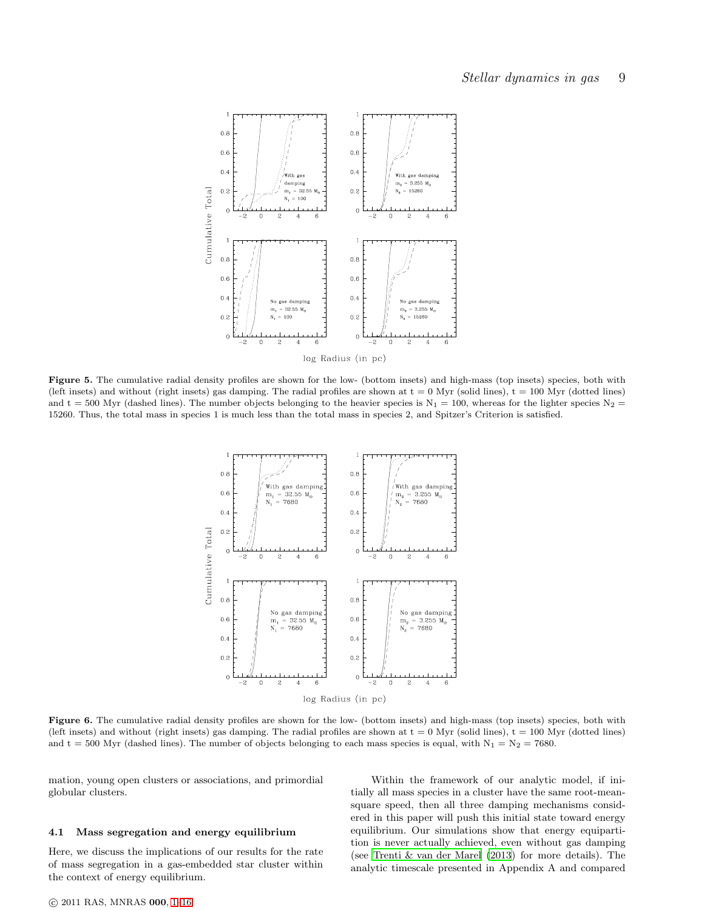

<span id="page-8-0"></span>Figure 5. The cumulative radial density profiles are shown for the low- (bottom insets) and high-mass (top insets) species, both with (left insets) and without (right insets) gas damping. The radial profiles are shown at  $t = 0$  Myr (solid lines),  $t = 100$  Myr (dotted lines) and t = 500 Myr (dashed lines). The number objects belonging to the heavier species is  $N_1 = 100$ , whereas for the lighter species  $N_2$ 15260. Thus, the total mass in species 1 is much less than the total mass in species 2, and Spitzer's Criterion is satisfied.



<span id="page-8-1"></span>Figure 6. The cumulative radial density profiles are shown for the low- (bottom insets) and high-mass (top insets) species, both with (left insets) and without (right insets) gas damping. The radial profiles are shown at  $t = 0$  Myr (solid lines),  $t = 100$  Myr (dotted lines) and t = 500 Myr (dashed lines). The number of objects belonging to each mass species is equal, with  $N_1 = N_2 = 7680$ .

mation, young open clusters or associations, and primordial globular clusters.

# 4.1 Mass segregation and energy equilibrium

Here, we discuss the implications of our results for the rate of mass segregation in a gas-embedded star cluster within the context of energy equilibrium.

Within the framework of our analytic model, if initially all mass species in a cluster have the same root-meansquare speed, then all three damping mechanisms considered in this paper will push this initial state toward energy equilibrium. Our simulations show that energy equipartition is never actually achieved, even without gas damping (see [Trenti & van der Marel \(2013](#page-13-13)) for more details). The analytic timescale presented in Appendix A and compared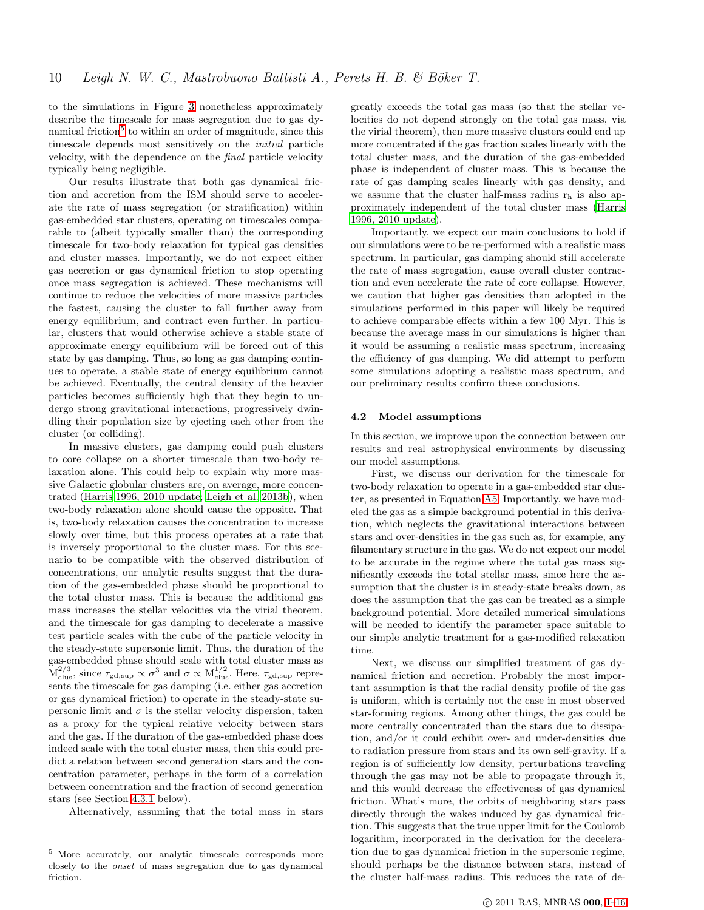to the simulations in Figure [3](#page-7-1) nonetheless approximately describe the timescale for mass segregation due to gas dy-namical friction<sup>[5](#page-9-0)</sup> to within an order of magnitude, since this timescale depends most sensitively on the initial particle velocity, with the dependence on the final particle velocity typically being negligible.

Our results illustrate that both gas dynamical friction and accretion from the ISM should serve to accelerate the rate of mass segregation (or stratification) within gas-embedded star clusters, operating on timescales comparable to (albeit typically smaller than) the corresponding timescale for two-body relaxation for typical gas densities and cluster masses. Importantly, we do not expect either gas accretion or gas dynamical friction to stop operating once mass segregation is achieved. These mechanisms will continue to reduce the velocities of more massive particles the fastest, causing the cluster to fall further away from energy equilibrium, and contract even further. In particular, clusters that would otherwise achieve a stable state of approximate energy equilibrium will be forced out of this state by gas damping. Thus, so long as gas damping continues to operate, a stable state of energy equilibrium cannot be achieved. Eventually, the central density of the heavier particles becomes sufficiently high that they begin to undergo strong gravitational interactions, progressively dwindling their population size by ejecting each other from the cluster (or colliding).

In massive clusters, gas damping could push clusters to core collapse on a shorter timescale than two-body relaxation alone. This could help to explain why more massive Galactic globular clusters are, on average, more concentrated [\(Harris 1996, 2010 update](#page-12-52); [Leigh et al. 2013b](#page-12-53)), when two-body relaxation alone should cause the opposite. That is, two-body relaxation causes the concentration to increase slowly over time, but this process operates at a rate that is inversely proportional to the cluster mass. For this scenario to be compatible with the observed distribution of concentrations, our analytic results suggest that the duration of the gas-embedded phase should be proportional to the total cluster mass. This is because the additional gas mass increases the stellar velocities via the virial theorem, and the timescale for gas damping to decelerate a massive test particle scales with the cube of the particle velocity in the steady-state supersonic limit. Thus, the duration of the gas-embedded phase should scale with total cluster mass as  $M_{\rm clus}^{2/3}$ , since  $\tau_{\rm gd, sup} \propto \sigma^3$  and  $\sigma \propto M_{\rm clus}^{1/2}$ . Here,  $\tau_{\rm gd, sup}$  represents the timescale for gas damping (i.e. either gas accretion or gas dynamical friction) to operate in the steady-state supersonic limit and  $\sigma$  is the stellar velocity dispersion, taken as a proxy for the typical relative velocity between stars and the gas. If the duration of the gas-embedded phase does indeed scale with the total cluster mass, then this could predict a relation between second generation stars and the concentration parameter, perhaps in the form of a correlation between concentration and the fraction of second generation stars (see Section [4.3.1](#page-10-0) below).

Alternatively, assuming that the total mass in stars

greatly exceeds the total gas mass (so that the stellar velocities do not depend strongly on the total gas mass, via the virial theorem), then more massive clusters could end up more concentrated if the gas fraction scales linearly with the total cluster mass, and the duration of the gas-embedded phase is independent of cluster mass. This is because the rate of gas damping scales linearly with gas density, and we assume that the cluster half-mass radius  $r_h$  is also approximately independent of the total cluster mass [\(Harris](#page-12-52) [1996, 2010 update\)](#page-12-52).

Importantly, we expect our main conclusions to hold if our simulations were to be re-performed with a realistic mass spectrum. In particular, gas damping should still accelerate the rate of mass segregation, cause overall cluster contraction and even accelerate the rate of core collapse. However, we caution that higher gas densities than adopted in the simulations performed in this paper will likely be required to achieve comparable effects within a few 100 Myr. This is because the average mass in our simulations is higher than it would be assuming a realistic mass spectrum, increasing the efficiency of gas damping. We did attempt to perform some simulations adopting a realistic mass spectrum, and our preliminary results confirm these conclusions.

## 4.2 Model assumptions

In this section, we improve upon the connection between our results and real astrophysical environments by discussing our model assumptions.

First, we discuss our derivation for the timescale for two-body relaxation to operate in a gas-embedded star cluster, as presented in Equation [A5.](#page-14-0) Importantly, we have modeled the gas as a simple background potential in this derivation, which neglects the gravitational interactions between stars and over-densities in the gas such as, for example, any filamentary structure in the gas. We do not expect our model to be accurate in the regime where the total gas mass significantly exceeds the total stellar mass, since here the assumption that the cluster is in steady-state breaks down, as does the assumption that the gas can be treated as a simple background potential. More detailed numerical simulations will be needed to identify the parameter space suitable to our simple analytic treatment for a gas-modified relaxation time.

Next, we discuss our simplified treatment of gas dynamical friction and accretion. Probably the most important assumption is that the radial density profile of the gas is uniform, which is certainly not the case in most observed star-forming regions. Among other things, the gas could be more centrally concentrated than the stars due to dissipation, and/or it could exhibit over- and under-densities due to radiation pressure from stars and its own self-gravity. If a region is of sufficiently low density, perturbations traveling through the gas may not be able to propagate through it, and this would decrease the effectiveness of gas dynamical friction. What's more, the orbits of neighboring stars pass directly through the wakes induced by gas dynamical friction. This suggests that the true upper limit for the Coulomb logarithm, incorporated in the derivation for the deceleration due to gas dynamical friction in the supersonic regime, should perhaps be the distance between stars, instead of the cluster half-mass radius. This reduces the rate of de-

<span id="page-9-0"></span><sup>5</sup> More accurately, our analytic timescale corresponds more closely to the onset of mass segregation due to gas dynamical friction.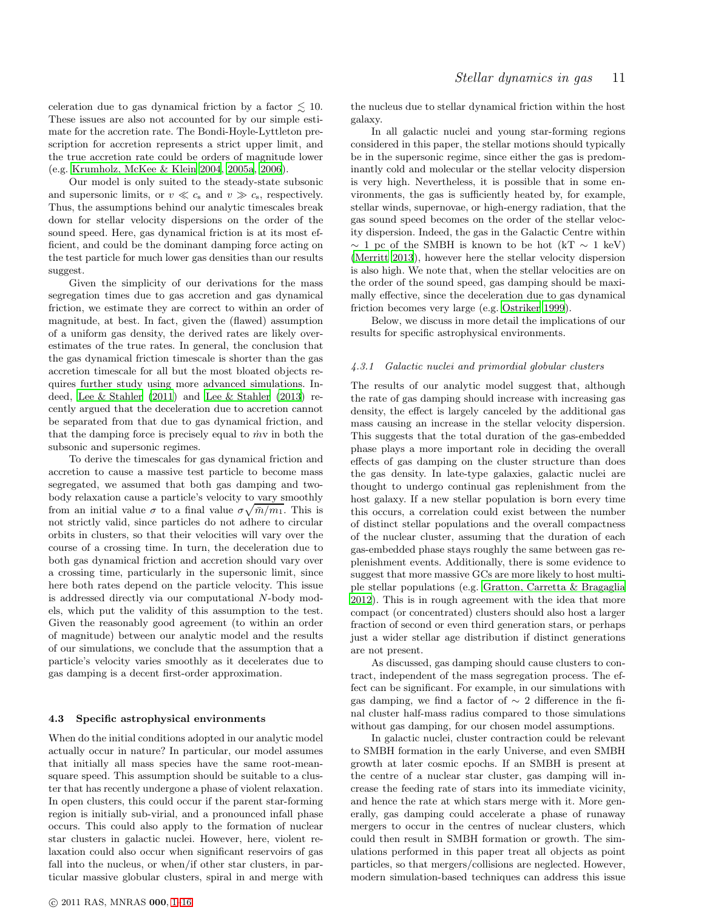celeration due to gas dynamical friction by a factor  $\lesssim$  10. These issues are also not accounted for by our simple estimate for the accretion rate. The Bondi-Hoyle-Lyttleton prescription for accretion represents a strict upper limit, and the true accretion rate could be orders of magnitude lower (e.g. [Krumholz, McKee & Klein 2004](#page-12-54), [2005a](#page-12-55), [2006](#page-12-56)).

Our model is only suited to the steady-state subsonic and supersonic limits, or  $v \ll c_s$  and  $v \gg c_s$ , respectively. Thus, the assumptions behind our analytic timescales break down for stellar velocity dispersions on the order of the sound speed. Here, gas dynamical friction is at its most efficient, and could be the dominant damping force acting on the test particle for much lower gas densities than our results suggest.

Given the simplicity of our derivations for the mass segregation times due to gas accretion and gas dynamical friction, we estimate they are correct to within an order of magnitude, at best. In fact, given the (flawed) assumption of a uniform gas density, the derived rates are likely overestimates of the true rates. In general, the conclusion that the gas dynamical friction timescale is shorter than the gas accretion timescale for all but the most bloated objects requires further study using more advanced simulations. Indeed, [Lee & Stahler \(2011\)](#page-12-44) and [Lee & Stahler \(2013\)](#page-12-45) recently argued that the deceleration due to accretion cannot be separated from that due to gas dynamical friction, and that the damping force is precisely equal to  $\dot{m}v$  in both the subsonic and supersonic regimes.

To derive the timescales for gas dynamical friction and accretion to cause a massive test particle to become mass segregated, we assumed that both gas damping and twobody relaxation cause a particle's velocity to vary smoothly from an initial value  $\sigma$  to a final value  $\sigma \sqrt{\bar{m}/m_1}$ . This is not strictly valid, since particles do not adhere to circular orbits in clusters, so that their velocities will vary over the course of a crossing time. In turn, the deceleration due to both gas dynamical friction and accretion should vary over a crossing time, particularly in the supersonic limit, since here both rates depend on the particle velocity. This issue is addressed directly via our computational N-body models, which put the validity of this assumption to the test. Given the reasonably good agreement (to within an order of magnitude) between our analytic model and the results of our simulations, we conclude that the assumption that a particle's velocity varies smoothly as it decelerates due to gas damping is a decent first-order approximation.

# 4.3 Specific astrophysical environments

When do the initial conditions adopted in our analytic model actually occur in nature? In particular, our model assumes that initially all mass species have the same root-meansquare speed. This assumption should be suitable to a cluster that has recently undergone a phase of violent relaxation. In open clusters, this could occur if the parent star-forming region is initially sub-virial, and a pronounced infall phase occurs. This could also apply to the formation of nuclear star clusters in galactic nuclei. However, here, violent relaxation could also occur when significant reservoirs of gas fall into the nucleus, or when/if other star clusters, in particular massive globular clusters, spiral in and merge with the nucleus due to stellar dynamical friction within the host galaxy.

In all galactic nuclei and young star-forming regions considered in this paper, the stellar motions should typically be in the supersonic regime, since either the gas is predominantly cold and molecular or the stellar velocity dispersion is very high. Nevertheless, it is possible that in some environments, the gas is sufficiently heated by, for example, stellar winds, supernovae, or high-energy radiation, that the gas sound speed becomes on the order of the stellar velocity dispersion. Indeed, the gas in the Galactic Centre within  $\sim$  1 pc of the SMBH is known to be hot (kT  $\sim$  1 keV) [\(Merritt 2013\)](#page-12-48), however here the stellar velocity dispersion is also high. We note that, when the stellar velocities are on the order of the sound speed, gas damping should be maximally effective, since the deceleration due to gas dynamical friction becomes very large (e.g. [Ostriker 1999](#page-13-12)).

Below, we discuss in more detail the implications of our results for specific astrophysical environments.

#### <span id="page-10-0"></span>4.3.1 Galactic nuclei and primordial globular clusters

The results of our analytic model suggest that, although the rate of gas damping should increase with increasing gas density, the effect is largely canceled by the additional gas mass causing an increase in the stellar velocity dispersion. This suggests that the total duration of the gas-embedded phase plays a more important role in deciding the overall effects of gas damping on the cluster structure than does the gas density. In late-type galaxies, galactic nuclei are thought to undergo continual gas replenishment from the host galaxy. If a new stellar population is born every time this occurs, a correlation could exist between the number of distinct stellar populations and the overall compactness of the nuclear cluster, assuming that the duration of each gas-embedded phase stays roughly the same between gas replenishment events. Additionally, there is some evidence to suggest that more massive GCs are more likely to host multiple stellar populations (e.g. [Gratton, Carretta & Bragaglia](#page-12-8) [2012](#page-12-8)). This is in rough agreement with the idea that more compact (or concentrated) clusters should also host a larger fraction of second or even third generation stars, or perhaps just a wider stellar age distribution if distinct generations are not present.

As discussed, gas damping should cause clusters to contract, independent of the mass segregation process. The effect can be significant. For example, in our simulations with gas damping, we find a factor of  $\sim$  2 difference in the final cluster half-mass radius compared to those simulations without gas damping, for our chosen model assumptions.

In galactic nuclei, cluster contraction could be relevant to SMBH formation in the early Universe, and even SMBH growth at later cosmic epochs. If an SMBH is present at the centre of a nuclear star cluster, gas damping will increase the feeding rate of stars into its immediate vicinity, and hence the rate at which stars merge with it. More generally, gas damping could accelerate a phase of runaway mergers to occur in the centres of nuclear clusters, which could then result in SMBH formation or growth. The simulations performed in this paper treat all objects as point particles, so that mergers/collisions are neglected. However, modern simulation-based techniques can address this issue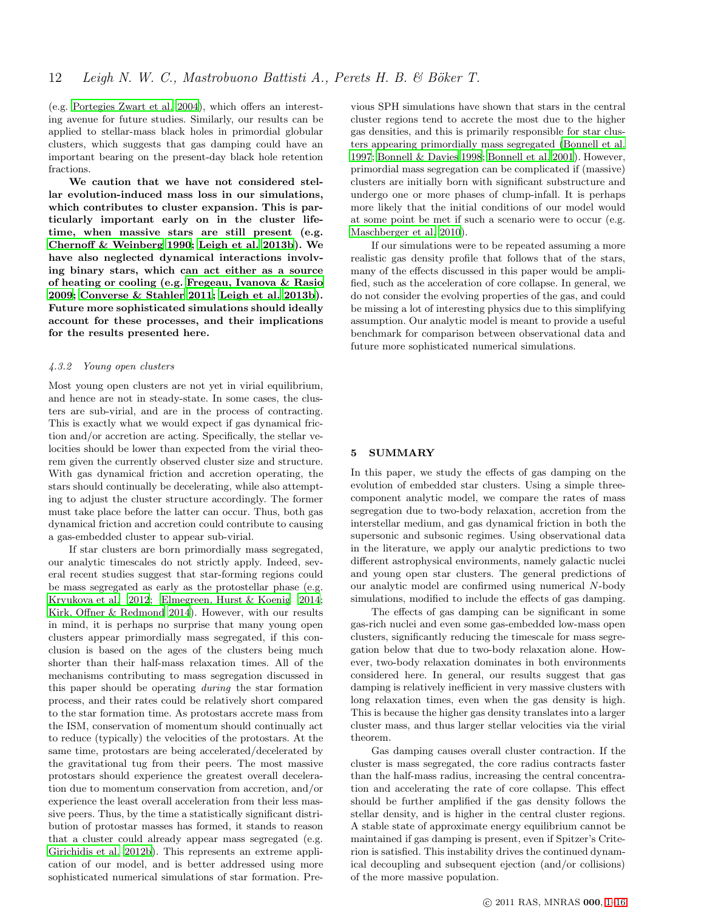(e.g. [Portegies Zwart et al. 2004](#page-13-17)), which offers an interesting avenue for future studies. Similarly, our results can be applied to stellar-mass black holes in primordial globular clusters, which suggests that gas damping could have an important bearing on the present-day black hole retention fractions.

We caution that we have not considered stellar evolution-induced mass loss in our simulations, which contributes to cluster expansion. This is particularly important early on in the cluster lifetime, when massive stars are still present (e.g. [Chernoff & Weinberg 1990](#page-12-57); [Leigh et al. 2013b\)](#page-12-53). We have also neglected dynamical interactions involving binary stars, which can act either as a source of heating or cooling (e.g. [Fregeau, Ivanova & Rasio](#page-12-58) [2009](#page-12-58); [Converse & Stahler 2011;](#page-12-59) [Leigh et al. 2013b](#page-12-53)). Future more sophisticated simulations should ideally account for these processes, and their implications for the results presented here.

# 4.3.2 Young open clusters

Most young open clusters are not yet in virial equilibrium, and hence are not in steady-state. In some cases, the clusters are sub-virial, and are in the process of contracting. This is exactly what we would expect if gas dynamical friction and/or accretion are acting. Specifically, the stellar velocities should be lower than expected from the virial theorem given the currently observed cluster size and structure. With gas dynamical friction and accretion operating, the stars should continually be decelerating, while also attempting to adjust the cluster structure accordingly. The former must take place before the latter can occur. Thus, both gas dynamical friction and accretion could contribute to causing a gas-embedded cluster to appear sub-virial.

If star clusters are born primordially mass segregated, our analytic timescales do not strictly apply. Indeed, several recent studies suggest that star-forming regions could be mass segregated as early as the protostellar phase (e.g. [Kryukova et al. 2012](#page-12-60); [Elmegreen, Hurst & Koenig 2014;](#page-12-61) [Kirk, Offner & Redmond 2014](#page-12-18)). However, with our results in mind, it is perhaps no surprise that many young open clusters appear primordially mass segregated, if this conclusion is based on the ages of the clusters being much shorter than their half-mass relaxation times. All of the mechanisms contributing to mass segregation discussed in this paper should be operating during the star formation process, and their rates could be relatively short compared to the star formation time. As protostars accrete mass from the ISM, conservation of momentum should continually act to reduce (typically) the velocities of the protostars. At the same time, protostars are being accelerated/decelerated by the gravitational tug from their peers. The most massive protostars should experience the greatest overall deceleration due to momentum conservation from accretion, and/or experience the least overall acceleration from their less massive peers. Thus, by the time a statistically significant distribution of protostar masses has formed, it stands to reason that a cluster could already appear mass segregated (e.g. [Girichidis et al. 2012b\)](#page-12-28). This represents an extreme application of our model, and is better addressed using more sophisticated numerical simulations of star formation. Previous SPH simulations have shown that stars in the central cluster regions tend to accrete the most due to the higher gas densities, and this is primarily responsible for star clusters appearing primordially mass segregated [\(Bonnell et al.](#page-12-19) [1997](#page-12-19); [Bonnell & Davies 1998](#page-12-20); [Bonnell et al. 2001](#page-12-21)). However, primordial mass segregation can be complicated if (massive) clusters are initially born with significant substructure and undergo one or more phases of clump-infall. It is perhaps more likely that the initial conditions of our model would at some point be met if such a scenario were to occur (e.g. [Maschberger et al. 2010\)](#page-12-25).

If our simulations were to be repeated assuming a more realistic gas density profile that follows that of the stars, many of the effects discussed in this paper would be amplified, such as the acceleration of core collapse. In general, we do not consider the evolving properties of the gas, and could be missing a lot of interesting physics due to this simplifying assumption. Our analytic model is meant to provide a useful benchmark for comparison between observational data and future more sophisticated numerical simulations.

# 5 SUMMARY

In this paper, we study the effects of gas damping on the evolution of embedded star clusters. Using a simple threecomponent analytic model, we compare the rates of mass segregation due to two-body relaxation, accretion from the interstellar medium, and gas dynamical friction in both the supersonic and subsonic regimes. Using observational data in the literature, we apply our analytic predictions to two different astrophysical environments, namely galactic nuclei and young open star clusters. The general predictions of our analytic model are confirmed using numerical N-body simulations, modified to include the effects of gas damping.

The effects of gas damping can be significant in some gas-rich nuclei and even some gas-embedded low-mass open clusters, significantly reducing the timescale for mass segregation below that due to two-body relaxation alone. However, two-body relaxation dominates in both environments considered here. In general, our results suggest that gas damping is relatively inefficient in very massive clusters with long relaxation times, even when the gas density is high. This is because the higher gas density translates into a larger cluster mass, and thus larger stellar velocities via the virial theorem.

Gas damping causes overall cluster contraction. If the cluster is mass segregated, the core radius contracts faster than the half-mass radius, increasing the central concentration and accelerating the rate of core collapse. This effect should be further amplified if the gas density follows the stellar density, and is higher in the central cluster regions. A stable state of approximate energy equilibrium cannot be maintained if gas damping is present, even if Spitzer's Criterion is satisfied. This instability drives the continued dynamical decoupling and subsequent ejection (and/or collisions) of the more massive population.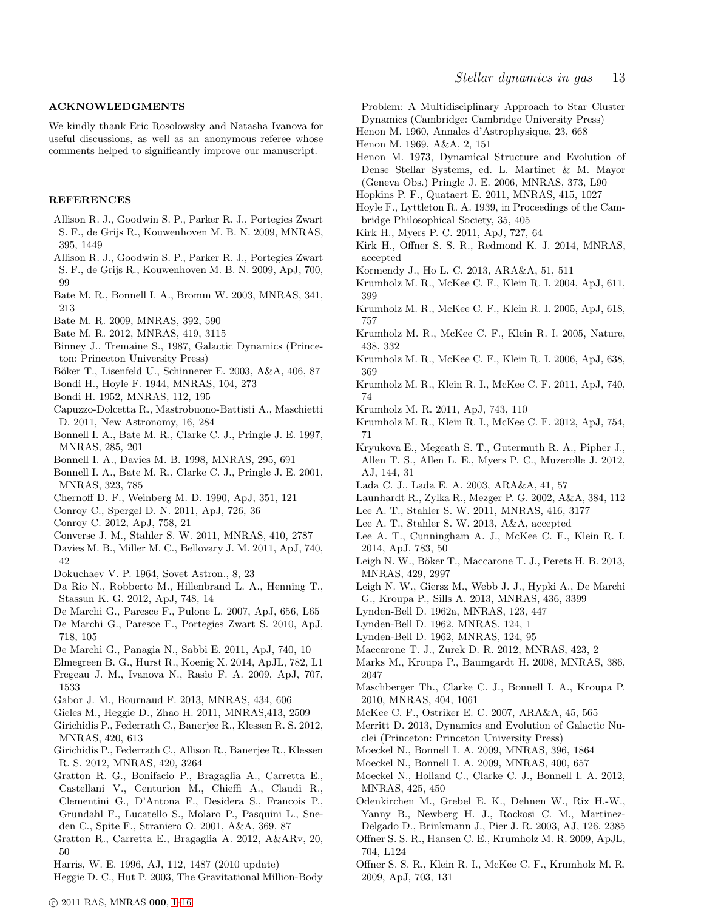# ACKNOWLEDGMENTS

We kindly thank Eric Rosolowsky and Natasha Ivanova for useful discussions, as well as an anonymous referee whose comments helped to significantly improve our manuscript.

#### **REFERENCES**

- <span id="page-12-36"></span>Allison R. J., Goodwin S. P., Parker R. J., Portegies Zwart S. F., de Grijs R., Kouwenhoven M. B. N. 2009, MNRAS, 395, 1449
- <span id="page-12-29"></span>Allison R. J., Goodwin S. P., Parker R. J., Portegies Zwart S. F., de Grijs R., Kouwenhoven M. B. N. 2009, ApJ, 700, 99
- <span id="page-12-22"></span>Bate M. R., Bonnell I. A., Bromm W. 2003, MNRAS, 341, 213
- <span id="page-12-23"></span>Bate M. R. 2009, MNRAS, 392, 590
- <span id="page-12-24"></span>Bate M. R. 2012, MNRAS, 419, 3115
- <span id="page-12-50"></span>Binney J., Tremaine S., 1987, Galactic Dynamics (Princeton: Princeton University Press)
- <span id="page-12-4"></span>Böker T., Lisenfeld U., Schinnerer E. 2003, A&A, 406, 87
- <span id="page-12-41"></span>Bondi H., Hoyle F. 1944, MNRAS, 104, 273
- <span id="page-12-42"></span>Bondi H. 1952, MNRAS, 112, 195
- <span id="page-12-47"></span>Capuzzo-Dolcetta R., Mastrobuono-Battisti A., Maschietti D. 2011, New Astronomy, 16, 284
- <span id="page-12-19"></span>Bonnell I. A., Bate M. R., Clarke C. J., Pringle J. E. 1997, MNRAS, 285, 201
- <span id="page-12-20"></span>Bonnell I. A., Davies M. B. 1998, MNRAS, 295, 691
- <span id="page-12-21"></span>Bonnell I. A., Bate M. R., Clarke C. J., Pringle J. E. 2001, MNRAS, 323, 785
- <span id="page-12-57"></span>Chernoff D. F., Weinberg M. D. 1990, ApJ, 351, 121
- <span id="page-12-9"></span>Conroy C., Spergel D. N. 2011, ApJ, 726, 36
- <span id="page-12-10"></span>Conroy C. 2012, ApJ, 758, 21
- <span id="page-12-59"></span>Converse J. M., Stahler S. W. 2011, MNRAS, 410, 2787
- Davies M. B., Miller M. C., Bellovary J. M. 2011, ApJ, 740, 42
- <span id="page-12-43"></span>Dokuchaev V. P. 1964, Sovet Astron., 8, 23
- <span id="page-12-1"></span>Da Rio N., Robberto M., Hillenbrand L. A., Henning T., Stassun K. G. 2012, ApJ, 748, 14
- De Marchi G., Paresce F., Pulone L. 2007, ApJ, 656, L65
- <span id="page-12-40"></span>De Marchi G., Paresce F., Portegies Zwart S. 2010, ApJ, 718, 105
- <span id="page-12-0"></span>De Marchi G., Panagia N., Sabbi E. 2011, ApJ, 740, 10
- <span id="page-12-61"></span><span id="page-12-58"></span>Elmegreen B. G., Hurst R., Koenig X. 2014, ApJL, 782, L1 Fregeau J. M., Ivanova N., Rasio F. A. 2009, ApJ, 707, 1533
- <span id="page-12-6"></span>Gabor J. M., Bournaud F. 2013, MNRAS, 434, 606
- <span id="page-12-39"></span>Gieles M., Heggie D., Zhao H. 2011, MNRAS,413, 2509
- <span id="page-12-27"></span>Girichidis P., Federrath C., Banerjee R., Klessen R. S. 2012, MNRAS, 420, 613
- <span id="page-12-28"></span>Girichidis P., Federrath C., Allison R., Banerjee R., Klessen R. S. 2012, MNRAS, 420, 3264
- <span id="page-12-11"></span>Gratton R. G., Bonifacio P., Bragaglia A., Carretta E., Castellani V., Centurion M., Chieffi A., Claudi R., Clementini G., D'Antona F., Desidera S., Francois P., Grundahl F., Lucatello S., Molaro P., Pasquini L., Sneden C., Spite F., Straniero O. 2001, A&A, 369, 87
- <span id="page-12-8"></span>Gratton R., Carretta E., Bragaglia A. 2012, A&ARv, 20, 50
- <span id="page-12-52"></span>Harris, W. E. 1996, AJ, 112, 1487 (2010 update)
- <span id="page-12-12"></span>Heggie D. C., Hut P. 2003, The Gravitational Million-Body

Problem: A Multidisciplinary Approach to Star Cluster Dynamics (Cambridge: Cambridge University Press)

<span id="page-12-37"></span>Henon M. 1960, Annales d'Astrophysique, 23, 668

- <span id="page-12-51"></span>Henon M. 1969, A&A, 2, 151
- <span id="page-12-38"></span>Henon M. 1973, Dynamical Structure and Evolution of Dense Stellar Systems, ed. L. Martinet & M. Mayor (Geneva Obs.) Pringle J. E. 2006, MNRAS, 373, L90
- <span id="page-12-5"></span>Hopkins P. F., Quataert E. 2011, MNRAS, 415, 1027
- Hoyle F., Lyttleton R. A. 1939, in Proceedings of the Cambridge Philosophical Society, 35, 405
- <span id="page-12-14"></span>Kirk H., Myers P. C. 2011, ApJ, 727, 64
- <span id="page-12-18"></span>Kirk H., Offner S. S. R., Redmond K. J. 2014, MNRAS, accepted
- <span id="page-12-7"></span>Kormendy J., Ho L. C. 2013, ARA&A, 51, 511
- <span id="page-12-54"></span>Krumholz M. R., McKee C. F., Klein R. I. 2004, ApJ, 611, 399
- <span id="page-12-55"></span>Krumholz M. R., McKee C. F., Klein R. I. 2005, ApJ, 618, 757
- <span id="page-12-13"></span>Krumholz M. R., McKee C. F., Klein R. I. 2005, Nature, 438, 332
- <span id="page-12-56"></span>Krumholz M. R., McKee C. F., Klein R. I. 2006, ApJ, 638, 369
- <span id="page-12-15"></span>Krumholz M. R., Klein R. I., McKee C. F. 2011, ApJ, 740, 74
- <span id="page-12-16"></span>Krumholz M. R. 2011, ApJ, 743, 110
- <span id="page-12-17"></span>Krumholz M. R., Klein R. I., McKee C. F. 2012, ApJ, 754, 71
- <span id="page-12-60"></span>Kryukova E., Megeath S. T., Gutermuth R. A., Pipher J., Allen T. S., Allen L. E., Myers P. C., Muzerolle J. 2012, AJ, 144, 31
- <span id="page-12-2"></span>Lada C. J., Lada E. A. 2003, ARA&A, 41, 57
- <span id="page-12-46"></span>Launhardt R., Zylka R., Mezger P. G. 2002, A&A, 384, 112
- <span id="page-12-44"></span>Lee A. T., Stahler S. W. 2011, MNRAS, 416, 3177
- <span id="page-12-45"></span>Lee A. T., Stahler S. W. 2013, A&A, accepted
- <span id="page-12-31"></span>Lee A. T., Cunningham A. J., McKee C. F., Klein R. I. 2014, ApJ, 783, 50
- <span id="page-12-63"></span>Leigh N. W., Böker T., Maccarone T. J., Perets H. B. 2013, MNRAS, 429, 2997
- <span id="page-12-53"></span>Leigh N. W., Giersz M., Webb J. J., Hypki A., De Marchi G., Kroupa P., Sills A. 2013, MNRAS, 436, 3399
- Lynden-Bell D. 1962a, MNRAS, 123, 447
- <span id="page-12-62"></span>Lynden-Bell D. 1962, MNRAS, 124, 1
- Lynden-Bell D. 1962, MNRAS, 124, 95
- <span id="page-12-64"></span>Maccarone T. J., Zurek D. R. 2012, MNRAS, 423, 2
- <span id="page-12-32"></span>Marks M., Kroupa P., Baumgardt H. 2008, MNRAS, 386, 2047
- <span id="page-12-25"></span>Maschberger Th., Clarke C. J., Bonnell I. A., Kroupa P. 2010, MNRAS, 404, 1061
- <span id="page-12-3"></span>McKee C. F., Ostriker E. C. 2007, ARA&A, 45, 565
- <span id="page-12-48"></span>Merritt D. 2013, Dynamics and Evolution of Galactic Nuclei (Princeton: Princeton University Press)
- <span id="page-12-35"></span>Moeckel N., Bonnell I. A. 2009, MNRAS, 396, 1864
- <span id="page-12-34"></span>Moeckel N., Bonnell I. A. 2009, MNRAS, 400, 657
- <span id="page-12-33"></span>Moeckel N., Holland C., Clarke C. J., Bonnell I. A. 2012, MNRAS, 425, 450
- <span id="page-12-49"></span>Odenkirchen M., Grebel E. K., Dehnen W., Rix H.-W.,
- Yanny B., Newberg H. J., Rockosi C. M., Martinez-Delgado D., Brinkmann J., Pier J. R. 2003, AJ, 126, 2385
- <span id="page-12-26"></span>Offner S. S. R., Hansen C. E., Krumholz M. R. 2009, ApJL, 704, L124
- <span id="page-12-30"></span>Offner S. S. R., Klein R. I., McKee C. F., Krumholz M. R. 2009, ApJ, 703, 131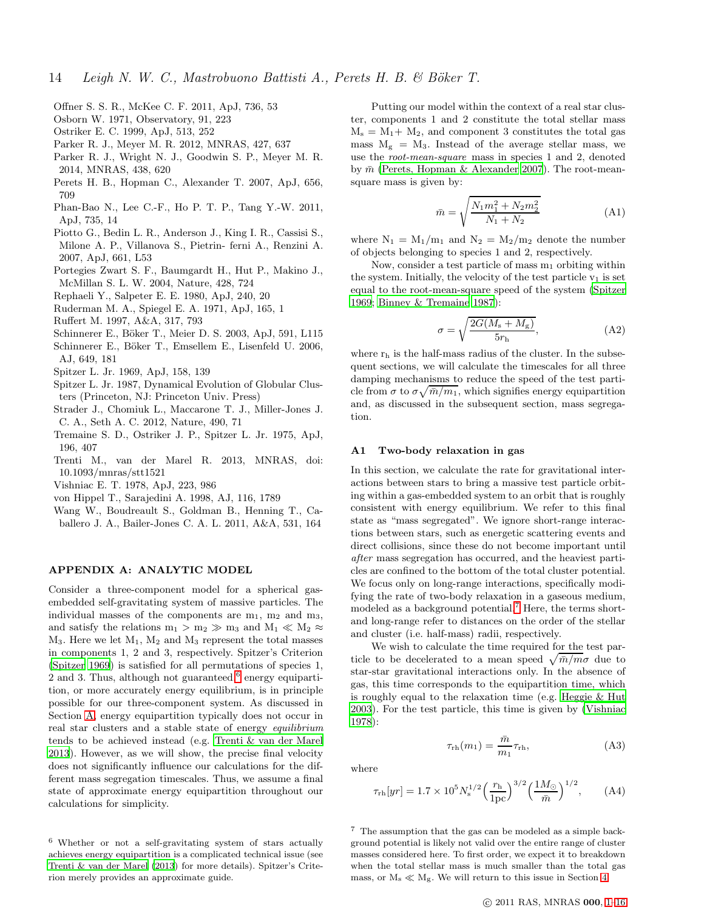- <span id="page-13-6"></span>Offner S. S. R., McKee C. F. 2011, ApJ, 736, 53
- <span id="page-13-4"></span>Osborn W. 1971, Observatory, 91, 223
- <span id="page-13-12"></span>Ostriker E. C. 1999, ApJ, 513, 252
- <span id="page-13-7"></span>Parker R. J., Meyer M. R. 2012, MNRAS, 427, 637
- <span id="page-13-8"></span>Parker R. J., Wright N. J., Goodwin S. P., Meyer M. R. 2014, MNRAS, 438, 620
- <span id="page-13-21"></span>Perets H. B., Hopman C., Alexander T. 2007, ApJ, 656, 709
- <span id="page-13-1"></span>Phan-Bao N., Lee C.-F., Ho P. T. P., Tang Y.-W. 2011, ApJ, 735, 14
- <span id="page-13-3"></span>Piotto G., Bedin L. R., Anderson J., King I. R., Cassisi S., Milone A. P., Villanova S., Pietrin- ferni A., Renzini A. 2007, ApJ, 661, L53
- <span id="page-13-17"></span>Portegies Zwart S. F., Baumgardt H., Hut P., Makino J., McMillan S. L. W. 2004, Nature, 428, 724
- <span id="page-13-11"></span>Rephaeli Y., Salpeter E. E. 1980, ApJ, 240, 20
- <span id="page-13-10"></span>Ruderman M. A., Spiegel E. A. 1971, ApJ, 165, 1
- Ruffert M. 1997, A&A, 317, 793
- <span id="page-13-14"></span>Schinnerer E., Böker T., Meier D. S. 2003, ApJ, 591, L115
- <span id="page-13-2"></span>Schinnerer E., Böker T., Emsellem E., Lisenfeld U. 2006, AJ, 649, 181
- <span id="page-13-18"></span>Spitzer L. Jr. 1969, ApJ, 158, 139
- <span id="page-13-5"></span>Spitzer L. Jr. 1987, Dynamical Evolution of Globular Clusters (Princeton, NJ: Princeton Univ. Press)
- Strader J., Chomiuk L., Maccarone T. J., Miller-Jones J. C. A., Seth A. C. 2012, Nature, 490, 71
- Tremaine S. D., Ostriker J. P., Spitzer L. Jr. 1975, ApJ, 196, 407
- <span id="page-13-13"></span>Trenti M., van der Marel R. 2013, MNRAS, doi: 10.1093/mnras/stt1521
- <span id="page-13-23"></span>Vishniac E. T. 1978, ApJ, 223, 986
- <span id="page-13-9"></span>von Hippel T., Sarajedini A. 1998, AJ, 116, 1789
- <span id="page-13-0"></span>Wang W., Boudreault S., Goldman B., Henning T., Caballero J. A., Bailer-Jones C. A. L. 2011, A&A, 531, 164

# <span id="page-13-20"></span>APPENDIX A: ANALYTIC MODEL

Consider a three-component model for a spherical gasembedded self-gravitating system of massive particles. The individual masses of the components are  $m_1$ ,  $m_2$  and  $m_3$ , and satisfy the relations  $m_1 > m_2 \gg m_3$  and  $M_1 \ll M_2 \approx$  $M_3$ . Here we let  $M_1$ ,  $M_2$  and  $M_3$  represent the total masses in components 1, 2 and 3, respectively. Spitzer's Criterion [\(Spitzer 1969\)](#page-13-18) is satisfied for all permutations of species 1, 2 and 3. Thus, although not guaranteed,<sup>[6](#page-13-19)</sup> energy equipartition, or more accurately energy equilibrium, is in principle possible for our three-component system. As discussed in Section [A,](#page-13-20) energy equipartition typically does not occur in real star clusters and a stable state of energy equilibrium tends to be achieved instead (e.g. [Trenti & van der Marel](#page-13-13) [2013](#page-13-13)). However, as we will show, the precise final velocity does not significantly influence our calculations for the different mass segregation timescales. Thus, we assume a final state of approximate energy equipartition throughout our calculations for simplicity.

Putting our model within the context of a real star cluster, components 1 and 2 constitute the total stellar mass  $M_s = M_1 + M_2$ , and component 3 constitutes the total gas mass  $M<sub>g</sub> = M<sub>3</sub>$ . Instead of the average stellar mass, we use the root-mean-square mass in species 1 and 2, denoted by  $\bar{m}$  [\(Perets, Hopman & Alexander 2007](#page-13-21)). The root-meansquare mass is given by:

$$
\bar{m} = \sqrt{\frac{N_1 m_1^2 + N_2 m_2^2}{N_1 + N_2}}
$$
\n(A1)

where  $N_1 = M_1/m_1$  and  $N_2 = M_2/m_2$  denote the number of objects belonging to species 1 and 2, respectively.

Now, consider a test particle of mass  $m_1$  orbiting within the system. Initially, the velocity of the test particle  $v_1$  is set equal to the root-mean-square speed of the system [\(Spitzer](#page-13-18) [1969](#page-13-18); [Binney & Tremaine 1987\)](#page-12-50):

$$
\sigma = \sqrt{\frac{2G(M_{\rm s} + M_{\rm g})}{5r_{\rm h}}},\tag{A2}
$$

where  $r_h$  is the half-mass radius of the cluster. In the subsequent sections, we will calculate the timescales for all three damping mechanisms to reduce the speed of the test particle from  $\sigma$  to  $\sigma \sqrt{\bar{m}/m_1}$ , which signifies energy equipartition and, as discussed in the subsequent section, mass segregation.

#### A1 Two-body relaxation in gas

In this section, we calculate the rate for gravitational interactions between stars to bring a massive test particle orbiting within a gas-embedded system to an orbit that is roughly consistent with energy equilibrium. We refer to this final state as "mass segregated". We ignore short-range interactions between stars, such as energetic scattering events and direct collisions, since these do not become important until after mass segregation has occurred, and the heaviest particles are confined to the bottom of the total cluster potential. We focus only on long-range interactions, specifically modifying the rate of two-body relaxation in a gaseous medium, modeled as a background potential.<sup>[7](#page-13-22)</sup> Here, the terms shortand long-range refer to distances on the order of the stellar and cluster (i.e. half-mass) radii, respectively.

We wish to calculate the time required for the test particle to be decelerated to a mean speed  $\sqrt{\bar{m}/m}\sigma$  due to star-star gravitational interactions only. In the absence of gas, this time corresponds to the equipartition time, which is roughly equal to the relaxation time (e.g. [Heggie & Hut](#page-12-12) [2003](#page-12-12)). For the test particle, this time is given by [\(Vishniac](#page-13-23) [1978](#page-13-23)):

<span id="page-13-16"></span>
$$
\tau_{\rm rh}(m_1) = \frac{\bar{m}}{m_1} \tau_{\rm rh},\tag{A3}
$$

where

<span id="page-13-15"></span>
$$
\tau_{\rm rh}[yr] = 1.7 \times 10^5 N_{\rm s}^{1/2} \left(\frac{r_{\rm h}}{1 \,\text{pc}}\right)^{3/2} \left(\frac{1 M_{\odot}}{\bar{m}}\right)^{1/2},\tag{A4}
$$

<span id="page-13-22"></span><sup>7</sup> The assumption that the gas can be modeled as a simple background potential is likely not valid over the entire range of cluster masses considered here. To first order, we expect it to breakdown when the total stellar mass is much smaller than the total gas mass, or  $\rm M_{\rm s} \ll \rm M_{\rm g}.$  We will return to this issue in Section [4.](#page-7-0)

<span id="page-13-19"></span><sup>6</sup> Whether or not a self-gravitating system of stars actually achieves energy equipartition is a complicated technical issue (see [Trenti & van der Marel \(2013\)](#page-13-13) for more details). Spitzer's Criterion merely provides an approximate guide.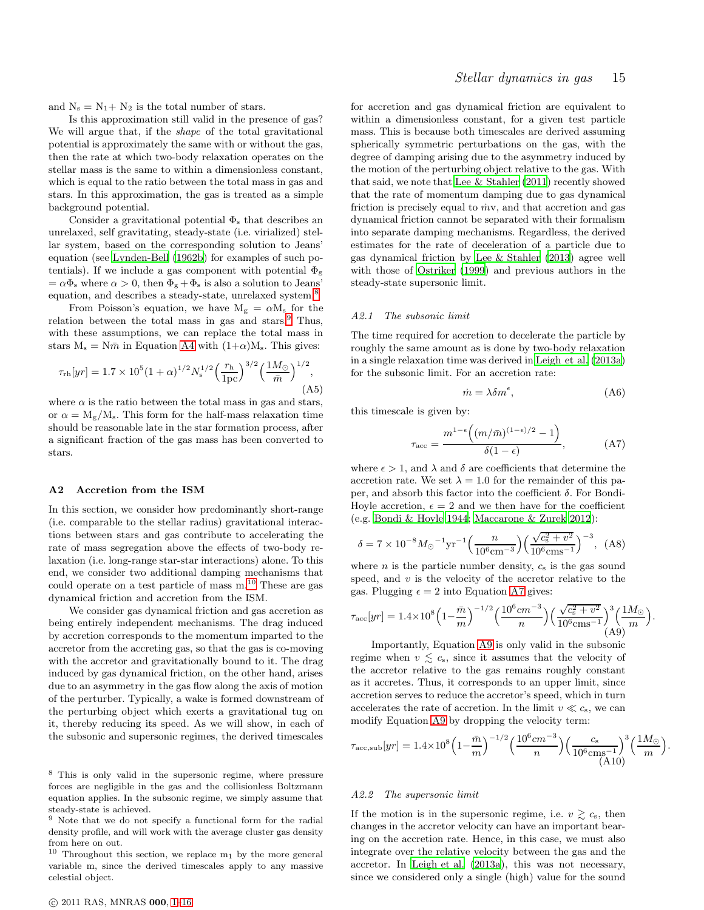and  $N_s = N_1 + N_2$  is the total number of stars.

Is this approximation still valid in the presence of gas? We will argue that, if the shape of the total gravitational potential is approximately the same with or without the gas, then the rate at which two-body relaxation operates on the stellar mass is the same to within a dimensionless constant, which is equal to the ratio between the total mass in gas and stars. In this approximation, the gas is treated as a simple background potential.

Consider a gravitational potential  $\Phi_{\rm s}$  that describes an unrelaxed, self gravitating, steady-state (i.e. virialized) stellar system, based on the corresponding solution to Jeans' equation (see [Lynden-Bell \(1962b](#page-12-62)) for examples of such potentials). If we include a gas component with potential  $\Phi_{\rm g}$  $=\alpha\Phi_s$  where  $\alpha > 0$ , then  $\Phi_g + \Phi_s$  is also a solution to Jeans' equation, and describes a steady-state, unrelaxed system.<sup>[8](#page-14-1)</sup>

From Poisson's equation, we have  $M_g = \alpha M_s$  for the relation between the total mass in gas and stars.<sup>[9](#page-14-2)</sup> Thus, with these assumptions, we can replace the total mass in stars  $M_s = N \bar{m}$  in Equation [A4](#page-13-15) with  $(1+\alpha)M_s$ . This gives:

<span id="page-14-0"></span>
$$
\tau_{\rm rh}[yr] = 1.7 \times 10^5 (1+\alpha)^{1/2} N_{\rm s}^{1/2} \left(\frac{r_{\rm h}}{1 \,\text{pc}}\right)^{3/2} \left(\frac{1 M_{\odot}}{\bar{m}}\right)^{1/2},\tag{A5}
$$

where  $\alpha$  is the ratio between the total mass in gas and stars, or  $\alpha = M_{\rm g}/M_{\rm s}$ . This form for the half-mass relaxation time should be reasonable late in the star formation process, after a significant fraction of the gas mass has been converted to stars.

## A2 Accretion from the ISM

In this section, we consider how predominantly short-range (i.e. comparable to the stellar radius) gravitational interactions between stars and gas contribute to accelerating the rate of mass segregation above the effects of two-body relaxation (i.e. long-range star-star interactions) alone. To this end, we consider two additional damping mechanisms that could operate on a test particle of mass  $m<sup>10</sup>$  $m<sup>10</sup>$  $m<sup>10</sup>$ . These are gas dynamical friction and accretion from the ISM.

We consider gas dynamical friction and gas accretion as being entirely independent mechanisms. The drag induced by accretion corresponds to the momentum imparted to the accretor from the accreting gas, so that the gas is co-moving with the accretor and gravitationally bound to it. The drag induced by gas dynamical friction, on the other hand, arises due to an asymmetry in the gas flow along the axis of motion of the perturber. Typically, a wake is formed downstream of the perturbing object which exerts a gravitational tug on it, thereby reducing its speed. As we will show, in each of the subsonic and supersonic regimes, the derived timescales

for accretion and gas dynamical friction are equivalent to within a dimensionless constant, for a given test particle mass. This is because both timescales are derived assuming spherically symmetric perturbations on the gas, with the degree of damping arising due to the asymmetry induced by the motion of the perturbing object relative to the gas. With that said, we note that [Lee & Stahler \(2011\)](#page-12-44) recently showed that the rate of momentum damping due to gas dynamical friction is precisely equal to  $\dot{m}v$ , and that accretion and gas dynamical friction cannot be separated with their formalism into separate damping mechanisms. Regardless, the derived estimates for the rate of deceleration of a particle due to gas dynamical friction by [Lee & Stahler \(2013\)](#page-12-45) agree well with those of [Ostriker \(1999\)](#page-13-12) and previous authors in the steady-state supersonic limit.

#### A2.1 The subsonic limit

The time required for accretion to decelerate the particle by roughly the same amount as is done by two-body relaxation in a single relaxation time was derived in [Leigh et al. \(2013a](#page-12-63)) for the subsonic limit. For an accretion rate:

<span id="page-14-7"></span>
$$
\dot{m} = \lambda \delta m^{\epsilon},\tag{A6}
$$

this timescale is given by:

<span id="page-14-4"></span>
$$
\tau_{\rm acc} = \frac{m^{1-\epsilon} \left( (m/\bar{m})^{(1-\epsilon)/2} - 1 \right)}{\delta(1-\epsilon)},
$$
\n(A7)

where  $\epsilon > 1$ , and  $\lambda$  and  $\delta$  are coefficients that determine the accretion rate. We set  $\lambda = 1.0$  for the remainder of this paper, and absorb this factor into the coefficient  $\delta$ . For Bondi-Hoyle accretion,  $\epsilon = 2$  and we then have for the coefficient (e.g. [Bondi & Hoyle 1944](#page-12-41); [Maccarone & Zurek 2012](#page-12-64)):

<span id="page-14-6"></span>
$$
\delta = 7 \times 10^{-8} M_{\odot}^{-1} \text{yr}^{-1} \left( \frac{n}{10^6 \text{cm}^{-3}} \right) \left( \frac{\sqrt{c_s^2 + v^2}}{10^6 \text{cm}^{-1}} \right)^{-3}, \tag{A8}
$$

where  $n$  is the particle number density,  $c_s$  is the gas sound speed, and  $v$  is the velocity of the accretor relative to the gas. Plugging  $\epsilon = 2$  into Equation [A7](#page-14-4) gives:

<span id="page-14-5"></span>
$$
\tau_{\rm acc}[yr]=1.4\times10^8\Big(1-\frac{\bar{m}}{m}\Big)^{-1/2}\Big(\frac{10^6cm^{-3}}{n}\Big)\Big(\frac{\sqrt{c_{\rm s}^2+v^2}}{10^6\rm cm^{-1}}\Big)^3\Big(\frac{1M_{\odot}}{m}\Big). \eqno(A9)
$$

Importantly, Equation [A9](#page-14-5) is only valid in the subsonic regime when  $v \lesssim c_s$ , since it assumes that the velocity of the accretor relative to the gas remains roughly constant as it accretes. Thus, it corresponds to an upper limit, since accretion serves to reduce the accretor's speed, which in turn accelerates the rate of accretion. In the limit  $v \ll c_s$ , we can modify Equation [A9](#page-14-5) by dropping the velocity term:

$$
\tau_{\rm acc,sub}[yr] = 1.4 \times 10^8 \left(1 - \frac{\bar{m}}{m}\right)^{-1/2} \left(\frac{10^6 cm^{-3}}{n}\right) \left(\frac{c_{\rm s}}{10^6 cm^{-1}}\right)^3 \left(\frac{1 M_{\odot}}{m}\right).
$$
\n(A10)

# A2.2 The supersonic limit

If the motion is in the supersonic regime, i.e.  $v \gtrsim c_s$ , then changes in the accretor velocity can have an important bearing on the accretion rate. Hence, in this case, we must also integrate over the relative velocity between the gas and the accretor. In [Leigh et al. \(2013a](#page-12-63)), this was not necessary, since we considered only a single (high) value for the sound

<span id="page-14-1"></span><sup>8</sup> This is only valid in the supersonic regime, where pressure forces are negligible in the gas and the collisionless Boltzmann equation applies. In the subsonic regime, we simply assume that steady-state is achieved.

<span id="page-14-2"></span> $9$  Note that we do not specify a functional form for the radial density profile, and will work with the average cluster gas density from here on out.

<span id="page-14-3"></span> $10$  Throughout this section, we replace  $m_1$  by the more general variable m, since the derived timescales apply to any massive celestial object.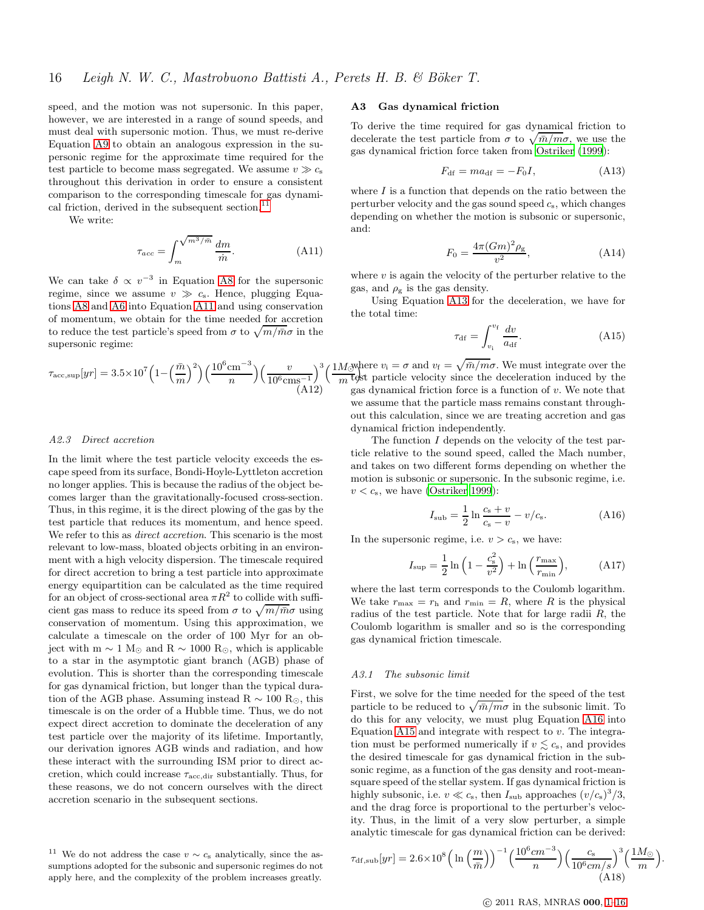speed, and the motion was not supersonic. In this paper, however, we are interested in a range of sound speeds, and must deal with supersonic motion. Thus, we must re-derive Equation [A9](#page-14-5) to obtain an analogous expression in the supersonic regime for the approximate time required for the test particle to become mass segregated. We assume  $v \gg c_s$ throughout this derivation in order to ensure a consistent comparison to the corresponding timescale for gas dynamical friction, derived in the subsequent section.<sup>1</sup>

We write:

<span id="page-15-3"></span>
$$
\tau_{acc} = \int_{m}^{\sqrt{m^3/\bar{m}}} \frac{dm}{\dot{m}}.\tag{A11}
$$

We can take  $\delta \propto v^{-3}$  in Equation [A8](#page-14-6) for the supersonic regime, since we assume  $v \gg c_s$ . Hence, plugging Equations [A8](#page-14-6) and [A6](#page-14-7) into Equation [A11](#page-15-3) and using conservation of momentum, we obtain for the time needed for accretion to reduce the test particle's speed from  $\sigma$  to  $\sqrt{m/\bar{m}}\sigma$  in the supersonic regime:

<span id="page-15-1"></span>
$$
\tau_{\text{acc,sup}}[yr] = 3.5 \times 10^7 \left(1 - \left(\frac{\bar{m}}{m}\right)^2\right) \left(\frac{10^6 \text{cm}^{-3}}{n}\right) \left(\frac{v}{10^6 \text{cm}^{-1}}\right)^3 \left(\frac{1 \text{m}}{n}\right)^{1/2}
$$

#### A2.3 Direct accretion

In the limit where the test particle velocity exceeds the escape speed from its surface, Bondi-Hoyle-Lyttleton accretion no longer applies. This is because the radius of the object becomes larger than the gravitationally-focused cross-section. Thus, in this regime, it is the direct plowing of the gas by the test particle that reduces its momentum, and hence speed. We refer to this as *direct accretion*. This scenario is the most relevant to low-mass, bloated objects orbiting in an environment with a high velocity dispersion. The timescale required for direct accretion to bring a test particle into approximate energy equipartition can be calculated as the time required for an object of cross-sectional area  $\pi R^2$  to collide with sufficient gas mass to reduce its speed from  $\sigma$  to  $\sqrt{m/\bar{m}}\sigma$  using conservation of momentum. Using this approximation, we calculate a timescale on the order of 100 Myr for an object with m  $\sim 1 \text{ M}_{\odot}$  and R  $\sim 1000 \text{ R}_{\odot}$ , which is applicable to a star in the asymptotic giant branch (AGB) phase of evolution. This is shorter than the corresponding timescale for gas dynamical friction, but longer than the typical duration of the AGB phase. Assuming instead R  $\sim$  100 R<sub>☉</sub>, this timescale is on the order of a Hubble time. Thus, we do not expect direct accretion to dominate the deceleration of any test particle over the majority of its lifetime. Importantly, our derivation ignores AGB winds and radiation, and how these interact with the surrounding ISM prior to direct accretion, which could increase  $\tau_{\text{acc,dir}}$  substantially. Thus, for these reasons, we do not concern ourselves with the direct accretion scenario in the subsequent sections.

## A3 Gas dynamical friction

To derive the time required for gas dynamical friction to decelerate the test particle from  $\sigma$  to  $\sqrt{\bar{m}/m}\sigma$ , we use the gas dynamical friction force taken from [Ostriker \(1999](#page-13-12)):

<span id="page-15-0"></span>
$$
F_{\rm df} = ma_{\rm df} = -F_0 I, \tag{A13}
$$

where  $I$  is a function that depends on the ratio between the perturber velocity and the gas sound speed  $c_s$ , which changes depending on whether the motion is subsonic or supersonic, and:

$$
F_0 = \frac{4\pi (Gm)^2 \rho_{\rm g}}{v^2},\tag{A14}
$$

where  $v$  is again the velocity of the perturber relative to the gas, and  $\rho_{\rm g}$  is the gas density.

Using Equation [A13](#page-15-0) for the deceleration, we have for the total time:

<span id="page-15-5"></span>
$$
\tau_{\rm df} = \int_{v_{\rm i}}^{v_{\rm f}} \frac{dv}{a_{\rm df}}.\tag{A15}
$$

 $\int_0^3 \left(\frac{1}{W}\right)^{n} \text{er } v_i = \sigma \text{ and } v_f = \sqrt{\bar{m}/m}\sigma.$  We must integrate over the  $\frac{dE}{dt}$  particle velocity since the deceleration induced by the gas dynamical friction force is a function of  $v$ . We note that we assume that the particle mass remains constant throughout this calculation, since we are treating accretion and gas dynamical friction independently.

> The function  $I$  depends on the velocity of the test particle relative to the sound speed, called the Mach number, and takes on two different forms depending on whether the motion is subsonic or supersonic. In the subsonic regime, i.e.  $v < c_s$ , we have [\(Ostriker 1999](#page-13-12)):

<span id="page-15-4"></span>
$$
I_{\rm sub} = \frac{1}{2} \ln \frac{c_{\rm s} + v}{c_{\rm s} - v} - v/c_{\rm s}.
$$
 (A16)

In the supersonic regime, i.e.  $v > c_s$ , we have:

<span id="page-15-6"></span>
$$
I_{\rm sup} = \frac{1}{2} \ln \left( 1 - \frac{c_{\rm s}^2}{v^2} \right) + \ln \left( \frac{r_{\rm max}}{r_{\rm min}} \right),\tag{A17}
$$

where the last term corresponds to the Coulomb logarithm. We take  $r_{\text{max}} = r_{\text{h}}$  and  $r_{\text{min}} = R$ , where R is the physical radius of the test particle. Note that for large radii  $R$ , the Coulomb logarithm is smaller and so is the corresponding gas dynamical friction timescale.

## A3.1 The subsonic limit

First, we solve for the time needed for the speed of the test particle to be reduced to  $\sqrt{\bar{m}/m}\sigma$  in the subsonic limit. To do this for any velocity, we must plug Equation [A16](#page-15-4) into Equation [A15](#page-15-5) and integrate with respect to  $v$ . The integration must be performed numerically if  $v \leq c_s$ , and provides the desired timescale for gas dynamical friction in the subsonic regime, as a function of the gas density and root-meansquare speed of the stellar system. If gas dynamical friction is highly subsonic, i.e.  $v \ll c_s$ , then  $I_{\text{sub}}$  approaches  $(v/c_s)^3/3$ , and the drag force is proportional to the perturber's velocity. Thus, in the limit of a very slow perturber, a simple analytic timescale for gas dynamical friction can be derived:

$$
\tau_{\rm df,sub}[yr] = 2.6 \times 10^8 \left( \ln \left( \frac{m}{\bar{m}} \right) \right)^{-1} \left( \frac{10^6 \, \text{cm}^{-3}}{n} \right) \left( \frac{c_{\rm s}}{10^6 \, \text{cm/s}} \right)^3 \left( \frac{1 M_{\odot}}{m} \right). \tag{A18}
$$

<span id="page-15-2"></span><sup>&</sup>lt;sup>11</sup> We do not address the case  $v \sim c_s$  analytically, since the assumptions adopted for the subsonic and supersonic regimes do not apply here, and the complexity of the problem increases greatly.